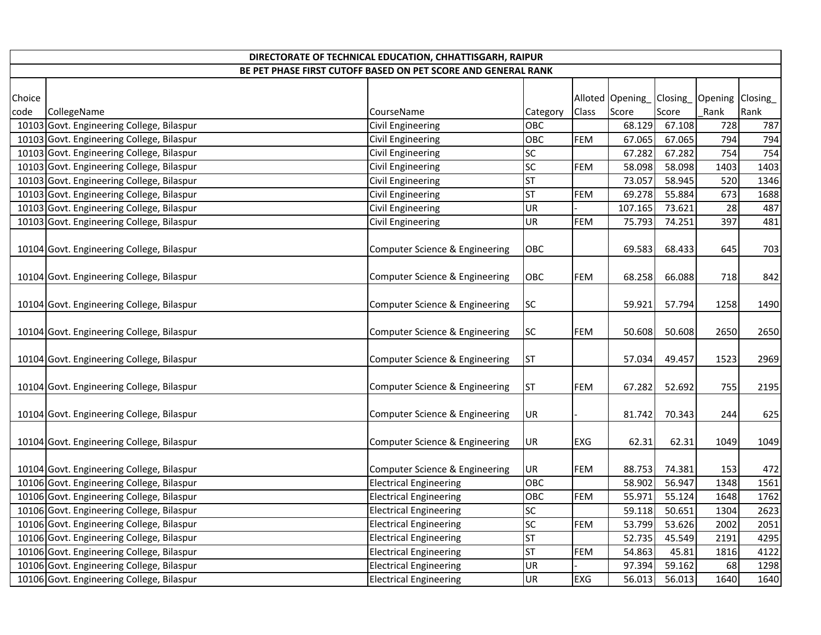|        | DIRECTORATE OF TECHNICAL EDUCATION, CHHATTISGARH, RAIPUR      |                                |           |            |                 |        |                          |      |  |
|--------|---------------------------------------------------------------|--------------------------------|-----------|------------|-----------------|--------|--------------------------|------|--|
|        | BE PET PHASE FIRST CUTOFF BASED ON PET SCORE AND GENERAL RANK |                                |           |            |                 |        |                          |      |  |
| Choice |                                                               |                                |           |            | Alloted Opening |        | Closing_Opening Closing_ |      |  |
| code   | CollegeName                                                   | CourseName                     | Category  | Class      | Score           | Score  | Rank                     | Rank |  |
|        | 10103 Govt. Engineering College, Bilaspur                     | Civil Engineering              | OBC       |            | 68.129          | 67.108 | 728                      | 787  |  |
|        | 10103 Govt. Engineering College, Bilaspur                     | <b>Civil Engineering</b>       | OBC       | <b>FEM</b> | 67.065          | 67.065 | 794                      | 794  |  |
|        | 10103 Govt. Engineering College, Bilaspur                     | <b>Civil Engineering</b>       | <b>SC</b> |            | 67.282          | 67.282 | 754                      | 754  |  |
|        | 10103 Govt. Engineering College, Bilaspur                     | <b>Civil Engineering</b>       | <b>SC</b> | FEM        | 58.098          | 58.098 | 1403                     | 1403 |  |
|        | 10103 Govt. Engineering College, Bilaspur                     | Civil Engineering              | <b>ST</b> |            | 73.057          | 58.945 | 520                      | 1346 |  |
|        | 10103 Govt. Engineering College, Bilaspur                     | <b>Civil Engineering</b>       | <b>ST</b> | FEM        | 69.278          | 55.884 | 673                      | 1688 |  |
|        | 10103 Govt. Engineering College, Bilaspur                     | <b>Civil Engineering</b>       | UR        |            | 107.165         | 73.621 | 28                       | 487  |  |
|        | 10103 Govt. Engineering College, Bilaspur                     | Civil Engineering              | UR        | <b>FEM</b> | 75.793          | 74.251 | 397                      | 481  |  |
|        | 10104 Govt. Engineering College, Bilaspur                     | Computer Science & Engineering | OBC       |            | 69.583          | 68.433 | 645                      | 703  |  |
|        | 10104 Govt. Engineering College, Bilaspur                     | Computer Science & Engineering | OBC       | <b>FEM</b> | 68.258          | 66.088 | 718                      | 842  |  |
|        | 10104 Govt. Engineering College, Bilaspur                     | Computer Science & Engineering | <b>SC</b> |            | 59.921          | 57.794 | 1258                     | 1490 |  |
|        | 10104 Govt. Engineering College, Bilaspur                     | Computer Science & Engineering | <b>SC</b> | FEM        | 50.608          | 50.608 | 2650                     | 2650 |  |
|        | 10104 Govt. Engineering College, Bilaspur                     | Computer Science & Engineering | <b>ST</b> |            | 57.034          | 49.457 | 1523                     | 2969 |  |
|        | 10104 Govt. Engineering College, Bilaspur                     | Computer Science & Engineering | <b>ST</b> | <b>FEM</b> | 67.282          | 52.692 | 755                      | 2195 |  |
|        | 10104 Govt. Engineering College, Bilaspur                     | Computer Science & Engineering | UR        |            | 81.742          | 70.343 | 244                      | 625  |  |
|        | 10104 Govt. Engineering College, Bilaspur                     | Computer Science & Engineering | UR        | EXG        | 62.31           | 62.31  | 1049                     | 1049 |  |
|        | 10104 Govt. Engineering College, Bilaspur                     | Computer Science & Engineering | UR        | FEM        | 88.753          | 74.381 | 153                      | 472  |  |
|        | 10106 Govt. Engineering College, Bilaspur                     | <b>Electrical Engineering</b>  | OBC       |            | 58.902          | 56.947 | 1348                     | 1561 |  |
|        | 10106 Govt. Engineering College, Bilaspur                     | <b>Electrical Engineering</b>  | OBC       | <b>FEM</b> | 55.971          | 55.124 | 1648                     | 1762 |  |
|        | 10106 Govt. Engineering College, Bilaspur                     | <b>Electrical Engineering</b>  | <b>SC</b> |            | 59.118          | 50.651 | 1304                     | 2623 |  |
|        | 10106 Govt. Engineering College, Bilaspur                     | <b>Electrical Engineering</b>  | SC        | <b>FEM</b> | 53.799          | 53.626 | 2002                     | 2051 |  |
|        | 10106 Govt. Engineering College, Bilaspur                     | <b>Electrical Engineering</b>  | <b>ST</b> |            | 52.735          | 45.549 | 2191                     | 4295 |  |
|        | 10106 Govt. Engineering College, Bilaspur                     | <b>Electrical Engineering</b>  | <b>ST</b> | FEM        | 54.863          | 45.81  | 1816                     | 4122 |  |
|        | 10106 Govt. Engineering College, Bilaspur                     | <b>Electrical Engineering</b>  | UR        |            | 97.394          | 59.162 | 68                       | 1298 |  |
|        | 10106 Govt. Engineering College, Bilaspur                     | <b>Electrical Engineering</b>  | <b>UR</b> | <b>EXG</b> | 56.013          | 56.013 | 1640                     | 1640 |  |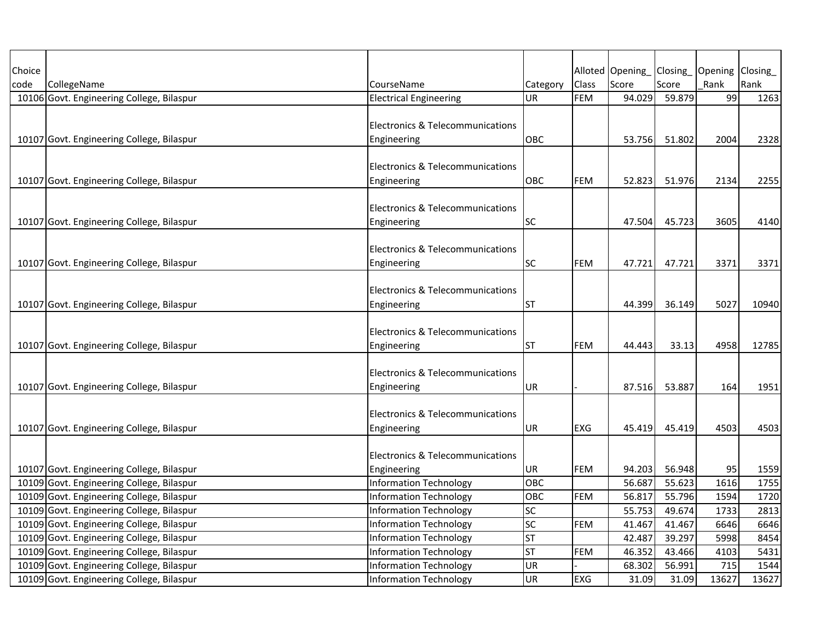| Choice |                                           |                                             |           |            | Alloted Opening | Closing | Opening Closing |       |
|--------|-------------------------------------------|---------------------------------------------|-----------|------------|-----------------|---------|-----------------|-------|
| code   | CollegeName                               | CourseName                                  | Category  | Class      | Score           | Score   | Rank            | Rank  |
|        | 10106 Govt. Engineering College, Bilaspur | <b>Electrical Engineering</b>               | UR        | <b>FEM</b> | 94.029          | 59.879  | 99              | 1263  |
|        |                                           |                                             |           |            |                 |         |                 |       |
|        |                                           | Electronics & Telecommunications            |           |            |                 |         |                 |       |
|        | 10107 Govt. Engineering College, Bilaspur | Engineering                                 | OBC       |            | 53.756          | 51.802  | 2004            | 2328  |
|        |                                           |                                             |           |            |                 |         |                 |       |
|        |                                           | Electronics & Telecommunications            |           |            |                 |         |                 |       |
|        | 10107 Govt. Engineering College, Bilaspur | Engineering                                 | OBC       | FEM        | 52.823          | 51.976  | 2134            | 2255  |
|        |                                           |                                             |           |            |                 |         |                 |       |
|        |                                           | Electronics & Telecommunications            |           |            |                 |         |                 |       |
|        | 10107 Govt. Engineering College, Bilaspur | Engineering                                 | SC        |            | 47.504          | 45.723  | 3605            | 4140  |
|        |                                           |                                             |           |            |                 |         |                 |       |
|        |                                           | Electronics & Telecommunications            |           |            |                 |         |                 |       |
|        | 10107 Govt. Engineering College, Bilaspur | Engineering                                 | SC        | <b>FEM</b> | 47.721          | 47.721  | 3371            | 3371  |
|        |                                           |                                             |           |            |                 |         |                 |       |
|        |                                           | Electronics & Telecommunications            |           |            |                 |         |                 |       |
|        | 10107 Govt. Engineering College, Bilaspur | Engineering                                 | <b>ST</b> |            | 44.399          | 36.149  | 5027            | 10940 |
|        |                                           |                                             |           |            |                 |         |                 |       |
|        |                                           | <b>Electronics &amp; Telecommunications</b> |           |            |                 |         |                 |       |
|        | 10107 Govt. Engineering College, Bilaspur | Engineering                                 | ST        | FEM        | 44.443          | 33.13   | 4958            | 12785 |
|        |                                           |                                             |           |            |                 |         |                 |       |
|        |                                           | Electronics & Telecommunications            |           |            |                 |         |                 |       |
|        | 10107 Govt. Engineering College, Bilaspur | Engineering                                 | UR        |            | 87.516          | 53.887  | 164             | 1951  |
|        |                                           |                                             |           |            |                 |         |                 |       |
|        |                                           | Electronics & Telecommunications            |           |            |                 |         |                 |       |
|        | 10107 Govt. Engineering College, Bilaspur | Engineering                                 | UR        | EXG        | 45.419          | 45.419  | 4503            | 4503  |
|        |                                           |                                             |           |            |                 |         |                 |       |
|        |                                           | Electronics & Telecommunications            |           |            |                 |         |                 |       |
|        | 10107 Govt. Engineering College, Bilaspur | Engineering                                 | UR        | FEM        | 94.203          | 56.948  | 95              | 1559  |
|        | 10109 Govt. Engineering College, Bilaspur | <b>Information Technology</b>               | OBC       |            | 56.687          | 55.623  | 1616            | 1755  |
|        | 10109 Govt. Engineering College, Bilaspur | <b>Information Technology</b>               | OBC       | FEM        | 56.817          | 55.796  | 1594            | 1720  |
|        | 10109 Govt. Engineering College, Bilaspur | <b>Information Technology</b>               | SC        |            | 55.753          | 49.674  | 1733            | 2813  |
|        | 10109 Govt. Engineering College, Bilaspur | <b>Information Technology</b>               | SC        | <b>FEM</b> | 41.467          | 41.467  | 6646            | 6646  |
|        | 10109 Govt. Engineering College, Bilaspur | <b>Information Technology</b>               | <b>ST</b> |            | 42.487          | 39.297  | 5998            | 8454  |
|        | 10109 Govt. Engineering College, Bilaspur | Information Technology                      | <b>ST</b> | FEM        | 46.352          | 43.466  | 4103            | 5431  |
|        | 10109 Govt. Engineering College, Bilaspur | Information Technology                      | UR        |            | 68.302          | 56.991  | 715             | 1544  |
|        | 10109 Govt. Engineering College, Bilaspur | Information Technology                      | UR        | EXG        | 31.09           | 31.09   | 13627           | 13627 |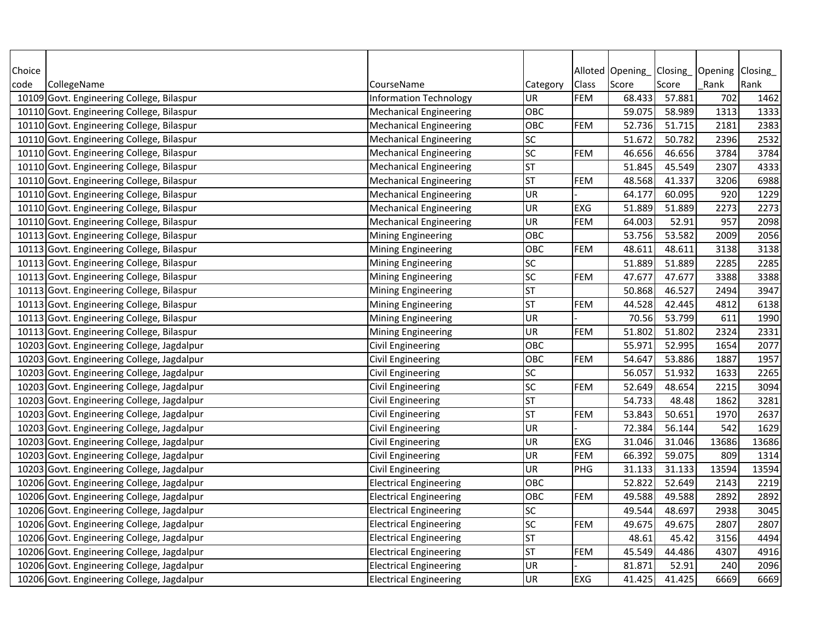| Alloted Opening<br>Opening<br>Closing<br>Class<br>Score<br>Score<br>Rank<br>Rank<br>code<br>CollegeName<br>CourseName<br>Category<br><b>FEM</b><br>68.433<br>57.881<br>702<br>10109 Govt. Engineering College, Bilaspur<br>UR<br>1462<br><b>Information Technology</b><br>10110 Govt. Engineering College, Bilaspur<br>OBC<br>59.075<br>58.989<br>1313<br>1333<br><b>Mechanical Engineering</b><br>OBC<br>2383<br>10110 Govt. Engineering College, Bilaspur<br><b>FEM</b><br>52.736<br>51.715<br>2181<br><b>Mechanical Engineering</b><br>SC<br>51.672<br>2532<br>10110 Govt. Engineering College, Bilaspur<br><b>Mechanical Engineering</b><br>50.782<br>2396<br>SC<br>46.656<br>3784<br>3784<br>10110 Govt. Engineering College, Bilaspur<br><b>Mechanical Engineering</b><br><b>FEM</b><br>46.656<br>4333<br><b>ST</b><br>51.845<br>45.549<br>2307<br>10110 Govt. Engineering College, Bilaspur<br><b>Mechanical Engineering</b><br><b>ST</b><br>FEM<br>48.568<br>41.337<br>3206<br>6988<br>10110 Govt. Engineering College, Bilaspur<br><b>Mechanical Engineering</b><br><b>UR</b><br>920<br>1229<br>10110 Govt. Engineering College, Bilaspur<br>64.177<br>60.095<br><b>Mechanical Engineering</b><br>UR<br>EXG<br>2273<br>2273<br>10110 Govt. Engineering College, Bilaspur<br>51.889<br>51.889<br><b>Mechanical Engineering</b><br>957<br>2098<br>10110 Govt. Engineering College, Bilaspur<br><b>Mechanical Engineering</b><br><b>UR</b><br><b>FEM</b><br>64.003<br>52.91<br>2056<br>OBC<br>53.756<br>53.582<br>2009<br>10113 Govt. Engineering College, Bilaspur<br><b>Mining Engineering</b><br><b>FEM</b><br>48.611<br>3138<br>10113 Govt. Engineering College, Bilaspur<br>OBC<br>48.611<br>3138<br><b>Mining Engineering</b><br>SC<br>10113 Govt. Engineering College, Bilaspur<br>51.889<br>51.889<br>2285<br>2285<br><b>Mining Engineering</b><br>SC<br>3388<br>10113 Govt. Engineering College, Bilaspur<br><b>FEM</b><br>47.677<br>47.677<br>3388<br><b>Mining Engineering</b><br>3947<br>10113 Govt. Engineering College, Bilaspur<br>ST<br>50.868<br>46.527<br>2494<br><b>Mining Engineering</b><br><b>ST</b><br><b>FEM</b><br>44.528<br>6138<br>10113 Govt. Engineering College, Bilaspur<br>42.445<br>4812<br><b>Mining Engineering</b><br><b>UR</b><br>70.56<br>53.799<br>611<br>1990<br>10113 Govt. Engineering College, Bilaspur<br><b>Mining Engineering</b><br><b>FEM</b><br>51.802<br>2331<br>10113 Govt. Engineering College, Bilaspur<br><b>Mining Engineering</b><br>UR<br>51.802<br>2324<br>2077<br>10203 Govt. Engineering College, Jagdalpur<br><b>Civil Engineering</b><br>OBC<br>55.971<br>52.995<br>1654<br>10203 Govt. Engineering College, Jagdalpur<br>OBC<br><b>FEM</b><br>54.647<br>53.886<br>1887<br>1957<br>Civil Engineering<br>SC<br>56.057<br>1633<br>2265<br>10203 Govt. Engineering College, Jagdalpur<br>Civil Engineering<br>51.932<br>SC<br>3094<br><b>FEM</b><br>52.649<br>48.654<br>2215<br>10203 Govt. Engineering College, Jagdalpur<br>Civil Engineering<br><b>ST</b><br>54.733<br>1862<br>3281<br>10203 Govt. Engineering College, Jagdalpur<br>48.48<br>Civil Engineering<br><b>ST</b><br><b>FEM</b><br>10203 Govt. Engineering College, Jagdalpur<br>Civil Engineering<br>53.843<br>50.651<br>1970<br>2637<br>1629<br>10203 Govt. Engineering College, Jagdalpur<br><b>UR</b><br>72.384<br>56.144<br>542<br>Civil Engineering<br><b>UR</b><br>10203 Govt. Engineering College, Jagdalpur<br><b>EXG</b><br>31.046<br>13686<br>13686<br>Civil Engineering<br>31.046<br><b>FEM</b><br>66.392<br>1314<br>10203 Govt. Engineering College, Jagdalpur<br><b>UR</b><br>59.075<br>809<br>Civil Engineering<br><b>UR</b><br>PHG<br>31.133<br>13594<br>13594<br>10203 Govt. Engineering College, Jagdalpur<br>Civil Engineering<br>31.133<br>52.822<br>10206 Govt. Engineering College, Jagdalpur<br><b>Electrical Engineering</b><br>OBC<br>52.649<br>2143<br>2219<br><b>FEM</b><br>OBC<br>49.588<br>49.588<br>2892<br>2892<br>10206 Govt. Engineering College, Jagdalpur<br><b>Electrical Engineering</b><br>SC<br>3045<br>10206 Govt. Engineering College, Jagdalpur<br>49.544<br>48.697<br>2938<br><b>Electrical Engineering</b><br>SC<br>10206 Govt. Engineering College, Jagdalpur<br><b>FEM</b><br>49.675<br>49.675<br>2807<br>2807<br><b>Electrical Engineering</b><br><b>ST</b><br>48.61<br>45.42<br>3156<br>4494<br>10206 Govt. Engineering College, Jagdalpur<br><b>Electrical Engineering</b><br><b>ST</b><br><b>FEM</b><br>4916<br>10206 Govt. Engineering College, Jagdalpur<br>45.549<br>44.486<br>4307<br><b>Electrical Engineering</b><br><b>UR</b><br>81.871<br>52.91<br>2096<br>10206 Govt. Engineering College, Jagdalpur<br><b>Electrical Engineering</b><br>240<br>10206 Govt. Engineering College, Jagdalpur |        |                               |           |     |        |        |      |         |
|--------------------------------------------------------------------------------------------------------------------------------------------------------------------------------------------------------------------------------------------------------------------------------------------------------------------------------------------------------------------------------------------------------------------------------------------------------------------------------------------------------------------------------------------------------------------------------------------------------------------------------------------------------------------------------------------------------------------------------------------------------------------------------------------------------------------------------------------------------------------------------------------------------------------------------------------------------------------------------------------------------------------------------------------------------------------------------------------------------------------------------------------------------------------------------------------------------------------------------------------------------------------------------------------------------------------------------------------------------------------------------------------------------------------------------------------------------------------------------------------------------------------------------------------------------------------------------------------------------------------------------------------------------------------------------------------------------------------------------------------------------------------------------------------------------------------------------------------------------------------------------------------------------------------------------------------------------------------------------------------------------------------------------------------------------------------------------------------------------------------------------------------------------------------------------------------------------------------------------------------------------------------------------------------------------------------------------------------------------------------------------------------------------------------------------------------------------------------------------------------------------------------------------------------------------------------------------------------------------------------------------------------------------------------------------------------------------------------------------------------------------------------------------------------------------------------------------------------------------------------------------------------------------------------------------------------------------------------------------------------------------------------------------------------------------------------------------------------------------------------------------------------------------------------------------------------------------------------------------------------------------------------------------------------------------------------------------------------------------------------------------------------------------------------------------------------------------------------------------------------------------------------------------------------------------------------------------------------------------------------------------------------------------------------------------------------------------------------------------------------------------------------------------------------------------------------------------------------------------------------------------------------------------------------------------------------------------------------------------------------------------------------------------------------------------------------------------------------------------------------------------------------------------------------------------------------------------------------------------------------------------------------------------------------------------------------------------------------------------------------------------------------------------------------------------------------------------------------------------------------------------------------------------------------------------------------------------------------------------------------------------------------------------------------------------------------------------------------------------------------------------------------------------------|--------|-------------------------------|-----------|-----|--------|--------|------|---------|
|                                                                                                                                                                                                                                                                                                                                                                                                                                                                                                                                                                                                                                                                                                                                                                                                                                                                                                                                                                                                                                                                                                                                                                                                                                                                                                                                                                                                                                                                                                                                                                                                                                                                                                                                                                                                                                                                                                                                                                                                                                                                                                                                                                                                                                                                                                                                                                                                                                                                                                                                                                                                                                                                                                                                                                                                                                                                                                                                                                                                                                                                                                                                                                                                                                                                                                                                                                                                                                                                                                                                                                                                                                                                                                                                                                                                                                                                                                                                                                                                                                                                                                                                                                                                                                                                                                                                                                                                                                                                                                                                                                                                                                                                                                                                                                                      | Choice |                               |           |     |        |        |      | Closing |
|                                                                                                                                                                                                                                                                                                                                                                                                                                                                                                                                                                                                                                                                                                                                                                                                                                                                                                                                                                                                                                                                                                                                                                                                                                                                                                                                                                                                                                                                                                                                                                                                                                                                                                                                                                                                                                                                                                                                                                                                                                                                                                                                                                                                                                                                                                                                                                                                                                                                                                                                                                                                                                                                                                                                                                                                                                                                                                                                                                                                                                                                                                                                                                                                                                                                                                                                                                                                                                                                                                                                                                                                                                                                                                                                                                                                                                                                                                                                                                                                                                                                                                                                                                                                                                                                                                                                                                                                                                                                                                                                                                                                                                                                                                                                                                                      |        |                               |           |     |        |        |      |         |
|                                                                                                                                                                                                                                                                                                                                                                                                                                                                                                                                                                                                                                                                                                                                                                                                                                                                                                                                                                                                                                                                                                                                                                                                                                                                                                                                                                                                                                                                                                                                                                                                                                                                                                                                                                                                                                                                                                                                                                                                                                                                                                                                                                                                                                                                                                                                                                                                                                                                                                                                                                                                                                                                                                                                                                                                                                                                                                                                                                                                                                                                                                                                                                                                                                                                                                                                                                                                                                                                                                                                                                                                                                                                                                                                                                                                                                                                                                                                                                                                                                                                                                                                                                                                                                                                                                                                                                                                                                                                                                                                                                                                                                                                                                                                                                                      |        |                               |           |     |        |        |      |         |
|                                                                                                                                                                                                                                                                                                                                                                                                                                                                                                                                                                                                                                                                                                                                                                                                                                                                                                                                                                                                                                                                                                                                                                                                                                                                                                                                                                                                                                                                                                                                                                                                                                                                                                                                                                                                                                                                                                                                                                                                                                                                                                                                                                                                                                                                                                                                                                                                                                                                                                                                                                                                                                                                                                                                                                                                                                                                                                                                                                                                                                                                                                                                                                                                                                                                                                                                                                                                                                                                                                                                                                                                                                                                                                                                                                                                                                                                                                                                                                                                                                                                                                                                                                                                                                                                                                                                                                                                                                                                                                                                                                                                                                                                                                                                                                                      |        |                               |           |     |        |        |      |         |
|                                                                                                                                                                                                                                                                                                                                                                                                                                                                                                                                                                                                                                                                                                                                                                                                                                                                                                                                                                                                                                                                                                                                                                                                                                                                                                                                                                                                                                                                                                                                                                                                                                                                                                                                                                                                                                                                                                                                                                                                                                                                                                                                                                                                                                                                                                                                                                                                                                                                                                                                                                                                                                                                                                                                                                                                                                                                                                                                                                                                                                                                                                                                                                                                                                                                                                                                                                                                                                                                                                                                                                                                                                                                                                                                                                                                                                                                                                                                                                                                                                                                                                                                                                                                                                                                                                                                                                                                                                                                                                                                                                                                                                                                                                                                                                                      |        |                               |           |     |        |        |      |         |
|                                                                                                                                                                                                                                                                                                                                                                                                                                                                                                                                                                                                                                                                                                                                                                                                                                                                                                                                                                                                                                                                                                                                                                                                                                                                                                                                                                                                                                                                                                                                                                                                                                                                                                                                                                                                                                                                                                                                                                                                                                                                                                                                                                                                                                                                                                                                                                                                                                                                                                                                                                                                                                                                                                                                                                                                                                                                                                                                                                                                                                                                                                                                                                                                                                                                                                                                                                                                                                                                                                                                                                                                                                                                                                                                                                                                                                                                                                                                                                                                                                                                                                                                                                                                                                                                                                                                                                                                                                                                                                                                                                                                                                                                                                                                                                                      |        |                               |           |     |        |        |      |         |
|                                                                                                                                                                                                                                                                                                                                                                                                                                                                                                                                                                                                                                                                                                                                                                                                                                                                                                                                                                                                                                                                                                                                                                                                                                                                                                                                                                                                                                                                                                                                                                                                                                                                                                                                                                                                                                                                                                                                                                                                                                                                                                                                                                                                                                                                                                                                                                                                                                                                                                                                                                                                                                                                                                                                                                                                                                                                                                                                                                                                                                                                                                                                                                                                                                                                                                                                                                                                                                                                                                                                                                                                                                                                                                                                                                                                                                                                                                                                                                                                                                                                                                                                                                                                                                                                                                                                                                                                                                                                                                                                                                                                                                                                                                                                                                                      |        |                               |           |     |        |        |      |         |
|                                                                                                                                                                                                                                                                                                                                                                                                                                                                                                                                                                                                                                                                                                                                                                                                                                                                                                                                                                                                                                                                                                                                                                                                                                                                                                                                                                                                                                                                                                                                                                                                                                                                                                                                                                                                                                                                                                                                                                                                                                                                                                                                                                                                                                                                                                                                                                                                                                                                                                                                                                                                                                                                                                                                                                                                                                                                                                                                                                                                                                                                                                                                                                                                                                                                                                                                                                                                                                                                                                                                                                                                                                                                                                                                                                                                                                                                                                                                                                                                                                                                                                                                                                                                                                                                                                                                                                                                                                                                                                                                                                                                                                                                                                                                                                                      |        |                               |           |     |        |        |      |         |
|                                                                                                                                                                                                                                                                                                                                                                                                                                                                                                                                                                                                                                                                                                                                                                                                                                                                                                                                                                                                                                                                                                                                                                                                                                                                                                                                                                                                                                                                                                                                                                                                                                                                                                                                                                                                                                                                                                                                                                                                                                                                                                                                                                                                                                                                                                                                                                                                                                                                                                                                                                                                                                                                                                                                                                                                                                                                                                                                                                                                                                                                                                                                                                                                                                                                                                                                                                                                                                                                                                                                                                                                                                                                                                                                                                                                                                                                                                                                                                                                                                                                                                                                                                                                                                                                                                                                                                                                                                                                                                                                                                                                                                                                                                                                                                                      |        |                               |           |     |        |        |      |         |
|                                                                                                                                                                                                                                                                                                                                                                                                                                                                                                                                                                                                                                                                                                                                                                                                                                                                                                                                                                                                                                                                                                                                                                                                                                                                                                                                                                                                                                                                                                                                                                                                                                                                                                                                                                                                                                                                                                                                                                                                                                                                                                                                                                                                                                                                                                                                                                                                                                                                                                                                                                                                                                                                                                                                                                                                                                                                                                                                                                                                                                                                                                                                                                                                                                                                                                                                                                                                                                                                                                                                                                                                                                                                                                                                                                                                                                                                                                                                                                                                                                                                                                                                                                                                                                                                                                                                                                                                                                                                                                                                                                                                                                                                                                                                                                                      |        |                               |           |     |        |        |      |         |
|                                                                                                                                                                                                                                                                                                                                                                                                                                                                                                                                                                                                                                                                                                                                                                                                                                                                                                                                                                                                                                                                                                                                                                                                                                                                                                                                                                                                                                                                                                                                                                                                                                                                                                                                                                                                                                                                                                                                                                                                                                                                                                                                                                                                                                                                                                                                                                                                                                                                                                                                                                                                                                                                                                                                                                                                                                                                                                                                                                                                                                                                                                                                                                                                                                                                                                                                                                                                                                                                                                                                                                                                                                                                                                                                                                                                                                                                                                                                                                                                                                                                                                                                                                                                                                                                                                                                                                                                                                                                                                                                                                                                                                                                                                                                                                                      |        |                               |           |     |        |        |      |         |
|                                                                                                                                                                                                                                                                                                                                                                                                                                                                                                                                                                                                                                                                                                                                                                                                                                                                                                                                                                                                                                                                                                                                                                                                                                                                                                                                                                                                                                                                                                                                                                                                                                                                                                                                                                                                                                                                                                                                                                                                                                                                                                                                                                                                                                                                                                                                                                                                                                                                                                                                                                                                                                                                                                                                                                                                                                                                                                                                                                                                                                                                                                                                                                                                                                                                                                                                                                                                                                                                                                                                                                                                                                                                                                                                                                                                                                                                                                                                                                                                                                                                                                                                                                                                                                                                                                                                                                                                                                                                                                                                                                                                                                                                                                                                                                                      |        |                               |           |     |        |        |      |         |
|                                                                                                                                                                                                                                                                                                                                                                                                                                                                                                                                                                                                                                                                                                                                                                                                                                                                                                                                                                                                                                                                                                                                                                                                                                                                                                                                                                                                                                                                                                                                                                                                                                                                                                                                                                                                                                                                                                                                                                                                                                                                                                                                                                                                                                                                                                                                                                                                                                                                                                                                                                                                                                                                                                                                                                                                                                                                                                                                                                                                                                                                                                                                                                                                                                                                                                                                                                                                                                                                                                                                                                                                                                                                                                                                                                                                                                                                                                                                                                                                                                                                                                                                                                                                                                                                                                                                                                                                                                                                                                                                                                                                                                                                                                                                                                                      |        |                               |           |     |        |        |      |         |
|                                                                                                                                                                                                                                                                                                                                                                                                                                                                                                                                                                                                                                                                                                                                                                                                                                                                                                                                                                                                                                                                                                                                                                                                                                                                                                                                                                                                                                                                                                                                                                                                                                                                                                                                                                                                                                                                                                                                                                                                                                                                                                                                                                                                                                                                                                                                                                                                                                                                                                                                                                                                                                                                                                                                                                                                                                                                                                                                                                                                                                                                                                                                                                                                                                                                                                                                                                                                                                                                                                                                                                                                                                                                                                                                                                                                                                                                                                                                                                                                                                                                                                                                                                                                                                                                                                                                                                                                                                                                                                                                                                                                                                                                                                                                                                                      |        |                               |           |     |        |        |      |         |
|                                                                                                                                                                                                                                                                                                                                                                                                                                                                                                                                                                                                                                                                                                                                                                                                                                                                                                                                                                                                                                                                                                                                                                                                                                                                                                                                                                                                                                                                                                                                                                                                                                                                                                                                                                                                                                                                                                                                                                                                                                                                                                                                                                                                                                                                                                                                                                                                                                                                                                                                                                                                                                                                                                                                                                                                                                                                                                                                                                                                                                                                                                                                                                                                                                                                                                                                                                                                                                                                                                                                                                                                                                                                                                                                                                                                                                                                                                                                                                                                                                                                                                                                                                                                                                                                                                                                                                                                                                                                                                                                                                                                                                                                                                                                                                                      |        |                               |           |     |        |        |      |         |
|                                                                                                                                                                                                                                                                                                                                                                                                                                                                                                                                                                                                                                                                                                                                                                                                                                                                                                                                                                                                                                                                                                                                                                                                                                                                                                                                                                                                                                                                                                                                                                                                                                                                                                                                                                                                                                                                                                                                                                                                                                                                                                                                                                                                                                                                                                                                                                                                                                                                                                                                                                                                                                                                                                                                                                                                                                                                                                                                                                                                                                                                                                                                                                                                                                                                                                                                                                                                                                                                                                                                                                                                                                                                                                                                                                                                                                                                                                                                                                                                                                                                                                                                                                                                                                                                                                                                                                                                                                                                                                                                                                                                                                                                                                                                                                                      |        |                               |           |     |        |        |      |         |
|                                                                                                                                                                                                                                                                                                                                                                                                                                                                                                                                                                                                                                                                                                                                                                                                                                                                                                                                                                                                                                                                                                                                                                                                                                                                                                                                                                                                                                                                                                                                                                                                                                                                                                                                                                                                                                                                                                                                                                                                                                                                                                                                                                                                                                                                                                                                                                                                                                                                                                                                                                                                                                                                                                                                                                                                                                                                                                                                                                                                                                                                                                                                                                                                                                                                                                                                                                                                                                                                                                                                                                                                                                                                                                                                                                                                                                                                                                                                                                                                                                                                                                                                                                                                                                                                                                                                                                                                                                                                                                                                                                                                                                                                                                                                                                                      |        |                               |           |     |        |        |      |         |
|                                                                                                                                                                                                                                                                                                                                                                                                                                                                                                                                                                                                                                                                                                                                                                                                                                                                                                                                                                                                                                                                                                                                                                                                                                                                                                                                                                                                                                                                                                                                                                                                                                                                                                                                                                                                                                                                                                                                                                                                                                                                                                                                                                                                                                                                                                                                                                                                                                                                                                                                                                                                                                                                                                                                                                                                                                                                                                                                                                                                                                                                                                                                                                                                                                                                                                                                                                                                                                                                                                                                                                                                                                                                                                                                                                                                                                                                                                                                                                                                                                                                                                                                                                                                                                                                                                                                                                                                                                                                                                                                                                                                                                                                                                                                                                                      |        |                               |           |     |        |        |      |         |
|                                                                                                                                                                                                                                                                                                                                                                                                                                                                                                                                                                                                                                                                                                                                                                                                                                                                                                                                                                                                                                                                                                                                                                                                                                                                                                                                                                                                                                                                                                                                                                                                                                                                                                                                                                                                                                                                                                                                                                                                                                                                                                                                                                                                                                                                                                                                                                                                                                                                                                                                                                                                                                                                                                                                                                                                                                                                                                                                                                                                                                                                                                                                                                                                                                                                                                                                                                                                                                                                                                                                                                                                                                                                                                                                                                                                                                                                                                                                                                                                                                                                                                                                                                                                                                                                                                                                                                                                                                                                                                                                                                                                                                                                                                                                                                                      |        |                               |           |     |        |        |      |         |
|                                                                                                                                                                                                                                                                                                                                                                                                                                                                                                                                                                                                                                                                                                                                                                                                                                                                                                                                                                                                                                                                                                                                                                                                                                                                                                                                                                                                                                                                                                                                                                                                                                                                                                                                                                                                                                                                                                                                                                                                                                                                                                                                                                                                                                                                                                                                                                                                                                                                                                                                                                                                                                                                                                                                                                                                                                                                                                                                                                                                                                                                                                                                                                                                                                                                                                                                                                                                                                                                                                                                                                                                                                                                                                                                                                                                                                                                                                                                                                                                                                                                                                                                                                                                                                                                                                                                                                                                                                                                                                                                                                                                                                                                                                                                                                                      |        |                               |           |     |        |        |      |         |
|                                                                                                                                                                                                                                                                                                                                                                                                                                                                                                                                                                                                                                                                                                                                                                                                                                                                                                                                                                                                                                                                                                                                                                                                                                                                                                                                                                                                                                                                                                                                                                                                                                                                                                                                                                                                                                                                                                                                                                                                                                                                                                                                                                                                                                                                                                                                                                                                                                                                                                                                                                                                                                                                                                                                                                                                                                                                                                                                                                                                                                                                                                                                                                                                                                                                                                                                                                                                                                                                                                                                                                                                                                                                                                                                                                                                                                                                                                                                                                                                                                                                                                                                                                                                                                                                                                                                                                                                                                                                                                                                                                                                                                                                                                                                                                                      |        |                               |           |     |        |        |      |         |
|                                                                                                                                                                                                                                                                                                                                                                                                                                                                                                                                                                                                                                                                                                                                                                                                                                                                                                                                                                                                                                                                                                                                                                                                                                                                                                                                                                                                                                                                                                                                                                                                                                                                                                                                                                                                                                                                                                                                                                                                                                                                                                                                                                                                                                                                                                                                                                                                                                                                                                                                                                                                                                                                                                                                                                                                                                                                                                                                                                                                                                                                                                                                                                                                                                                                                                                                                                                                                                                                                                                                                                                                                                                                                                                                                                                                                                                                                                                                                                                                                                                                                                                                                                                                                                                                                                                                                                                                                                                                                                                                                                                                                                                                                                                                                                                      |        |                               |           |     |        |        |      |         |
|                                                                                                                                                                                                                                                                                                                                                                                                                                                                                                                                                                                                                                                                                                                                                                                                                                                                                                                                                                                                                                                                                                                                                                                                                                                                                                                                                                                                                                                                                                                                                                                                                                                                                                                                                                                                                                                                                                                                                                                                                                                                                                                                                                                                                                                                                                                                                                                                                                                                                                                                                                                                                                                                                                                                                                                                                                                                                                                                                                                                                                                                                                                                                                                                                                                                                                                                                                                                                                                                                                                                                                                                                                                                                                                                                                                                                                                                                                                                                                                                                                                                                                                                                                                                                                                                                                                                                                                                                                                                                                                                                                                                                                                                                                                                                                                      |        |                               |           |     |        |        |      |         |
|                                                                                                                                                                                                                                                                                                                                                                                                                                                                                                                                                                                                                                                                                                                                                                                                                                                                                                                                                                                                                                                                                                                                                                                                                                                                                                                                                                                                                                                                                                                                                                                                                                                                                                                                                                                                                                                                                                                                                                                                                                                                                                                                                                                                                                                                                                                                                                                                                                                                                                                                                                                                                                                                                                                                                                                                                                                                                                                                                                                                                                                                                                                                                                                                                                                                                                                                                                                                                                                                                                                                                                                                                                                                                                                                                                                                                                                                                                                                                                                                                                                                                                                                                                                                                                                                                                                                                                                                                                                                                                                                                                                                                                                                                                                                                                                      |        |                               |           |     |        |        |      |         |
|                                                                                                                                                                                                                                                                                                                                                                                                                                                                                                                                                                                                                                                                                                                                                                                                                                                                                                                                                                                                                                                                                                                                                                                                                                                                                                                                                                                                                                                                                                                                                                                                                                                                                                                                                                                                                                                                                                                                                                                                                                                                                                                                                                                                                                                                                                                                                                                                                                                                                                                                                                                                                                                                                                                                                                                                                                                                                                                                                                                                                                                                                                                                                                                                                                                                                                                                                                                                                                                                                                                                                                                                                                                                                                                                                                                                                                                                                                                                                                                                                                                                                                                                                                                                                                                                                                                                                                                                                                                                                                                                                                                                                                                                                                                                                                                      |        |                               |           |     |        |        |      |         |
|                                                                                                                                                                                                                                                                                                                                                                                                                                                                                                                                                                                                                                                                                                                                                                                                                                                                                                                                                                                                                                                                                                                                                                                                                                                                                                                                                                                                                                                                                                                                                                                                                                                                                                                                                                                                                                                                                                                                                                                                                                                                                                                                                                                                                                                                                                                                                                                                                                                                                                                                                                                                                                                                                                                                                                                                                                                                                                                                                                                                                                                                                                                                                                                                                                                                                                                                                                                                                                                                                                                                                                                                                                                                                                                                                                                                                                                                                                                                                                                                                                                                                                                                                                                                                                                                                                                                                                                                                                                                                                                                                                                                                                                                                                                                                                                      |        |                               |           |     |        |        |      |         |
|                                                                                                                                                                                                                                                                                                                                                                                                                                                                                                                                                                                                                                                                                                                                                                                                                                                                                                                                                                                                                                                                                                                                                                                                                                                                                                                                                                                                                                                                                                                                                                                                                                                                                                                                                                                                                                                                                                                                                                                                                                                                                                                                                                                                                                                                                                                                                                                                                                                                                                                                                                                                                                                                                                                                                                                                                                                                                                                                                                                                                                                                                                                                                                                                                                                                                                                                                                                                                                                                                                                                                                                                                                                                                                                                                                                                                                                                                                                                                                                                                                                                                                                                                                                                                                                                                                                                                                                                                                                                                                                                                                                                                                                                                                                                                                                      |        |                               |           |     |        |        |      |         |
|                                                                                                                                                                                                                                                                                                                                                                                                                                                                                                                                                                                                                                                                                                                                                                                                                                                                                                                                                                                                                                                                                                                                                                                                                                                                                                                                                                                                                                                                                                                                                                                                                                                                                                                                                                                                                                                                                                                                                                                                                                                                                                                                                                                                                                                                                                                                                                                                                                                                                                                                                                                                                                                                                                                                                                                                                                                                                                                                                                                                                                                                                                                                                                                                                                                                                                                                                                                                                                                                                                                                                                                                                                                                                                                                                                                                                                                                                                                                                                                                                                                                                                                                                                                                                                                                                                                                                                                                                                                                                                                                                                                                                                                                                                                                                                                      |        |                               |           |     |        |        |      |         |
|                                                                                                                                                                                                                                                                                                                                                                                                                                                                                                                                                                                                                                                                                                                                                                                                                                                                                                                                                                                                                                                                                                                                                                                                                                                                                                                                                                                                                                                                                                                                                                                                                                                                                                                                                                                                                                                                                                                                                                                                                                                                                                                                                                                                                                                                                                                                                                                                                                                                                                                                                                                                                                                                                                                                                                                                                                                                                                                                                                                                                                                                                                                                                                                                                                                                                                                                                                                                                                                                                                                                                                                                                                                                                                                                                                                                                                                                                                                                                                                                                                                                                                                                                                                                                                                                                                                                                                                                                                                                                                                                                                                                                                                                                                                                                                                      |        |                               |           |     |        |        |      |         |
|                                                                                                                                                                                                                                                                                                                                                                                                                                                                                                                                                                                                                                                                                                                                                                                                                                                                                                                                                                                                                                                                                                                                                                                                                                                                                                                                                                                                                                                                                                                                                                                                                                                                                                                                                                                                                                                                                                                                                                                                                                                                                                                                                                                                                                                                                                                                                                                                                                                                                                                                                                                                                                                                                                                                                                                                                                                                                                                                                                                                                                                                                                                                                                                                                                                                                                                                                                                                                                                                                                                                                                                                                                                                                                                                                                                                                                                                                                                                                                                                                                                                                                                                                                                                                                                                                                                                                                                                                                                                                                                                                                                                                                                                                                                                                                                      |        |                               |           |     |        |        |      |         |
|                                                                                                                                                                                                                                                                                                                                                                                                                                                                                                                                                                                                                                                                                                                                                                                                                                                                                                                                                                                                                                                                                                                                                                                                                                                                                                                                                                                                                                                                                                                                                                                                                                                                                                                                                                                                                                                                                                                                                                                                                                                                                                                                                                                                                                                                                                                                                                                                                                                                                                                                                                                                                                                                                                                                                                                                                                                                                                                                                                                                                                                                                                                                                                                                                                                                                                                                                                                                                                                                                                                                                                                                                                                                                                                                                                                                                                                                                                                                                                                                                                                                                                                                                                                                                                                                                                                                                                                                                                                                                                                                                                                                                                                                                                                                                                                      |        |                               |           |     |        |        |      |         |
|                                                                                                                                                                                                                                                                                                                                                                                                                                                                                                                                                                                                                                                                                                                                                                                                                                                                                                                                                                                                                                                                                                                                                                                                                                                                                                                                                                                                                                                                                                                                                                                                                                                                                                                                                                                                                                                                                                                                                                                                                                                                                                                                                                                                                                                                                                                                                                                                                                                                                                                                                                                                                                                                                                                                                                                                                                                                                                                                                                                                                                                                                                                                                                                                                                                                                                                                                                                                                                                                                                                                                                                                                                                                                                                                                                                                                                                                                                                                                                                                                                                                                                                                                                                                                                                                                                                                                                                                                                                                                                                                                                                                                                                                                                                                                                                      |        |                               |           |     |        |        |      |         |
|                                                                                                                                                                                                                                                                                                                                                                                                                                                                                                                                                                                                                                                                                                                                                                                                                                                                                                                                                                                                                                                                                                                                                                                                                                                                                                                                                                                                                                                                                                                                                                                                                                                                                                                                                                                                                                                                                                                                                                                                                                                                                                                                                                                                                                                                                                                                                                                                                                                                                                                                                                                                                                                                                                                                                                                                                                                                                                                                                                                                                                                                                                                                                                                                                                                                                                                                                                                                                                                                                                                                                                                                                                                                                                                                                                                                                                                                                                                                                                                                                                                                                                                                                                                                                                                                                                                                                                                                                                                                                                                                                                                                                                                                                                                                                                                      |        |                               |           |     |        |        |      |         |
|                                                                                                                                                                                                                                                                                                                                                                                                                                                                                                                                                                                                                                                                                                                                                                                                                                                                                                                                                                                                                                                                                                                                                                                                                                                                                                                                                                                                                                                                                                                                                                                                                                                                                                                                                                                                                                                                                                                                                                                                                                                                                                                                                                                                                                                                                                                                                                                                                                                                                                                                                                                                                                                                                                                                                                                                                                                                                                                                                                                                                                                                                                                                                                                                                                                                                                                                                                                                                                                                                                                                                                                                                                                                                                                                                                                                                                                                                                                                                                                                                                                                                                                                                                                                                                                                                                                                                                                                                                                                                                                                                                                                                                                                                                                                                                                      |        |                               |           |     |        |        |      |         |
|                                                                                                                                                                                                                                                                                                                                                                                                                                                                                                                                                                                                                                                                                                                                                                                                                                                                                                                                                                                                                                                                                                                                                                                                                                                                                                                                                                                                                                                                                                                                                                                                                                                                                                                                                                                                                                                                                                                                                                                                                                                                                                                                                                                                                                                                                                                                                                                                                                                                                                                                                                                                                                                                                                                                                                                                                                                                                                                                                                                                                                                                                                                                                                                                                                                                                                                                                                                                                                                                                                                                                                                                                                                                                                                                                                                                                                                                                                                                                                                                                                                                                                                                                                                                                                                                                                                                                                                                                                                                                                                                                                                                                                                                                                                                                                                      |        |                               |           |     |        |        |      |         |
|                                                                                                                                                                                                                                                                                                                                                                                                                                                                                                                                                                                                                                                                                                                                                                                                                                                                                                                                                                                                                                                                                                                                                                                                                                                                                                                                                                                                                                                                                                                                                                                                                                                                                                                                                                                                                                                                                                                                                                                                                                                                                                                                                                                                                                                                                                                                                                                                                                                                                                                                                                                                                                                                                                                                                                                                                                                                                                                                                                                                                                                                                                                                                                                                                                                                                                                                                                                                                                                                                                                                                                                                                                                                                                                                                                                                                                                                                                                                                                                                                                                                                                                                                                                                                                                                                                                                                                                                                                                                                                                                                                                                                                                                                                                                                                                      |        |                               |           |     |        |        |      |         |
|                                                                                                                                                                                                                                                                                                                                                                                                                                                                                                                                                                                                                                                                                                                                                                                                                                                                                                                                                                                                                                                                                                                                                                                                                                                                                                                                                                                                                                                                                                                                                                                                                                                                                                                                                                                                                                                                                                                                                                                                                                                                                                                                                                                                                                                                                                                                                                                                                                                                                                                                                                                                                                                                                                                                                                                                                                                                                                                                                                                                                                                                                                                                                                                                                                                                                                                                                                                                                                                                                                                                                                                                                                                                                                                                                                                                                                                                                                                                                                                                                                                                                                                                                                                                                                                                                                                                                                                                                                                                                                                                                                                                                                                                                                                                                                                      |        |                               |           |     |        |        |      |         |
|                                                                                                                                                                                                                                                                                                                                                                                                                                                                                                                                                                                                                                                                                                                                                                                                                                                                                                                                                                                                                                                                                                                                                                                                                                                                                                                                                                                                                                                                                                                                                                                                                                                                                                                                                                                                                                                                                                                                                                                                                                                                                                                                                                                                                                                                                                                                                                                                                                                                                                                                                                                                                                                                                                                                                                                                                                                                                                                                                                                                                                                                                                                                                                                                                                                                                                                                                                                                                                                                                                                                                                                                                                                                                                                                                                                                                                                                                                                                                                                                                                                                                                                                                                                                                                                                                                                                                                                                                                                                                                                                                                                                                                                                                                                                                                                      |        | <b>Electrical Engineering</b> | <b>UR</b> | EXG | 41.425 | 41.425 | 6669 | 6669    |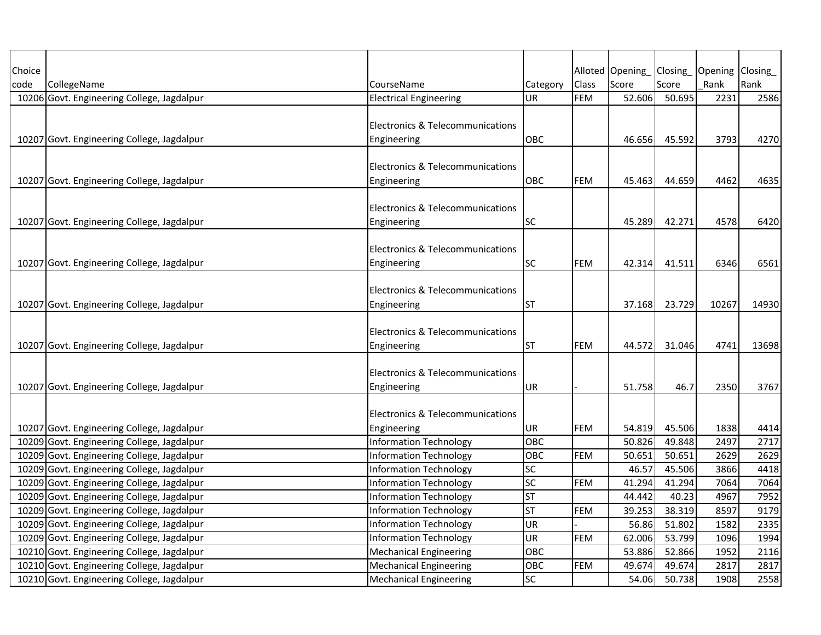| Choice |                                                                                          |                                              |           |            | Alloted Opening Closing |        | Opening Closing |              |
|--------|------------------------------------------------------------------------------------------|----------------------------------------------|-----------|------------|-------------------------|--------|-----------------|--------------|
| code   | CollegeName                                                                              | CourseName                                   | Category  | Class      | Score                   | Score  | Rank            | Rank         |
|        | 10206 Govt. Engineering College, Jagdalpur                                               | <b>Electrical Engineering</b>                | UR        | <b>FEM</b> | 52.606                  | 50.695 | 2231            | 2586         |
|        |                                                                                          |                                              |           |            |                         |        |                 |              |
|        |                                                                                          | Electronics & Telecommunications             |           |            |                         |        |                 |              |
|        | 10207 Govt. Engineering College, Jagdalpur                                               | Engineering                                  | OBC       |            | 46.656                  | 45.592 | 3793            | 4270         |
|        |                                                                                          |                                              |           |            |                         |        |                 |              |
|        |                                                                                          | <b>Electronics &amp; Telecommunications</b>  |           |            |                         |        |                 |              |
|        | 10207 Govt. Engineering College, Jagdalpur                                               | Engineering                                  | OBC       | <b>FEM</b> | 45.463                  | 44.659 | 4462            | 4635         |
|        |                                                                                          |                                              |           |            |                         |        |                 |              |
|        |                                                                                          | Electronics & Telecommunications             |           |            |                         |        |                 |              |
|        | 10207 Govt. Engineering College, Jagdalpur                                               | Engineering                                  | SC        |            | 45.289                  | 42.271 | 4578            | 6420         |
|        |                                                                                          |                                              |           |            |                         |        |                 |              |
|        |                                                                                          | Electronics & Telecommunications             |           |            |                         |        |                 |              |
|        | 10207 Govt. Engineering College, Jagdalpur                                               | Engineering                                  | SC        | FEM        | 42.314                  | 41.511 | 6346            | 6561         |
|        |                                                                                          |                                              |           |            |                         |        |                 |              |
|        |                                                                                          | Electronics & Telecommunications             |           |            |                         |        |                 |              |
|        | 10207 Govt. Engineering College, Jagdalpur                                               | Engineering                                  | ST        |            | 37.168                  | 23.729 | 10267           | 14930        |
|        |                                                                                          |                                              |           |            |                         |        |                 |              |
|        |                                                                                          | Electronics & Telecommunications             |           |            |                         |        |                 |              |
|        | 10207 Govt. Engineering College, Jagdalpur                                               | Engineering                                  | ST        | <b>FEM</b> | 44.572                  | 31.046 | 4741            | 13698        |
|        |                                                                                          |                                              |           |            |                         |        |                 |              |
|        |                                                                                          | Electronics & Telecommunications             |           |            |                         |        |                 |              |
|        | 10207 Govt. Engineering College, Jagdalpur                                               | Engineering                                  | UR        |            | 51.758                  | 46.7   | 2350            | 3767         |
|        |                                                                                          | Electronics & Telecommunications             |           |            |                         |        |                 |              |
|        |                                                                                          |                                              | <b>UR</b> | <b>FEM</b> | 54.819                  | 45.506 | 1838            |              |
|        | 10207 Govt. Engineering College, Jagdalpur<br>10209 Govt. Engineering College, Jagdalpur | Engineering<br><b>Information Technology</b> | OBC       |            | 50.826                  | 49.848 |                 | 4414<br>2717 |
|        | 10209 Govt. Engineering College, Jagdalpur                                               | <b>Information Technology</b>                |           |            | 50.651                  | 50.651 | 2497<br>2629    | 2629         |
|        |                                                                                          |                                              | OBC<br>SC | FEM        |                         |        |                 | 4418         |
|        | 10209 Govt. Engineering College, Jagdalpur                                               | Information Technology                       |           |            | 46.57                   | 45.506 | 3866            |              |
|        | 10209 Govt. Engineering College, Jagdalpur                                               | <b>Information Technology</b>                | SC        | FEM        | 41.294                  | 41.294 | 7064            | 7064         |
|        | 10209 Govt. Engineering College, Jagdalpur                                               | <b>Information Technology</b>                | <b>ST</b> |            | 44.442                  | 40.23  | 4967            | 7952         |
|        | 10209 Govt. Engineering College, Jagdalpur                                               | <b>Information Technology</b>                | <b>ST</b> | <b>FEM</b> | 39.253                  | 38.319 | 8597            | 9179         |
|        | 10209 Govt. Engineering College, Jagdalpur                                               | <b>Information Technology</b>                | UR        |            | 56.86                   | 51.802 | 1582            | 2335         |
|        | 10209 Govt. Engineering College, Jagdalpur                                               | <b>Information Technology</b>                | <b>UR</b> | FEM        | 62.006                  | 53.799 | 1096            | 1994         |
|        | 10210 Govt. Engineering College, Jagdalpur                                               | <b>Mechanical Engineering</b>                | OBC       |            | 53.886                  | 52.866 | 1952            | 2116         |
|        | 10210 Govt. Engineering College, Jagdalpur                                               | <b>Mechanical Engineering</b>                | OBC       | <b>FEM</b> | 49.674                  | 49.674 | 2817            | 2817         |
|        | 10210 Govt. Engineering College, Jagdalpur                                               | <b>Mechanical Engineering</b>                | SC        |            | 54.06                   | 50.738 | 1908            | 2558         |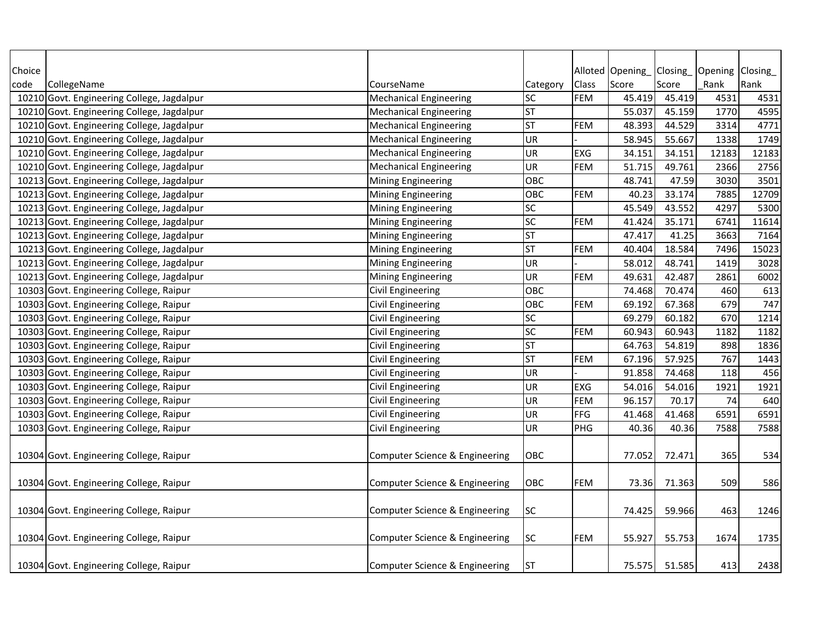| Choice |                                            |                                |            |            | Alloted Opening | Closing_ | Opening Closing |       |
|--------|--------------------------------------------|--------------------------------|------------|------------|-----------------|----------|-----------------|-------|
| code   | CollegeName                                | CourseName                     | Category   | Class      | Score           | Score    | Rank            | Rank  |
|        | 10210 Govt. Engineering College, Jagdalpur | <b>Mechanical Engineering</b>  | <b>SC</b>  | FEM        | 45.419          | 45.419   | 4531            | 4531  |
|        | 10210 Govt. Engineering College, Jagdalpur | <b>Mechanical Engineering</b>  | <b>ST</b>  |            | 55.037          | 45.159   | 1770            | 4595  |
|        | 10210 Govt. Engineering College, Jagdalpur | <b>Mechanical Engineering</b>  | <b>ST</b>  | <b>FEM</b> | 48.393          | 44.529   | 3314            | 4771  |
|        | 10210 Govt. Engineering College, Jagdalpur | <b>Mechanical Engineering</b>  | UR         |            | 58.945          | 55.667   | 1338            | 1749  |
|        | 10210 Govt. Engineering College, Jagdalpur | <b>Mechanical Engineering</b>  | UR         | <b>EXG</b> | 34.151          | 34.151   | 12183           | 12183 |
|        | 10210 Govt. Engineering College, Jagdalpur | <b>Mechanical Engineering</b>  | UR         | <b>FEM</b> | 51.715          | 49.761   | 2366            | 2756  |
|        | 10213 Govt. Engineering College, Jagdalpur | <b>Mining Engineering</b>      | OBC        |            | 48.741          | 47.59    | 3030            | 3501  |
|        | 10213 Govt. Engineering College, Jagdalpur | <b>Mining Engineering</b>      | <b>OBC</b> | <b>FEM</b> | 40.23           | 33.174   | 7885            | 12709 |
|        | 10213 Govt. Engineering College, Jagdalpur | <b>Mining Engineering</b>      | <b>SC</b>  |            | 45.549          | 43.552   | 4297            | 5300  |
|        | 10213 Govt. Engineering College, Jagdalpur | Mining Engineering             | <b>SC</b>  | <b>FEM</b> | 41.424          | 35.171   | 6741            | 11614 |
|        | 10213 Govt. Engineering College, Jagdalpur | <b>Mining Engineering</b>      | <b>ST</b>  |            | 47.417          | 41.25    | 3663            | 7164  |
|        | 10213 Govt. Engineering College, Jagdalpur | Mining Engineering             | <b>ST</b>  | <b>FEM</b> | 40.404          | 18.584   | 7496            | 15023 |
|        | 10213 Govt. Engineering College, Jagdalpur | <b>Mining Engineering</b>      | <b>UR</b>  |            | 58.012          | 48.741   | 1419            | 3028  |
|        | 10213 Govt. Engineering College, Jagdalpur | <b>Mining Engineering</b>      | UR         | <b>FEM</b> | 49.631          | 42.487   | 2861            | 6002  |
|        | 10303 Govt. Engineering College, Raipur    | Civil Engineering              | OBC        |            | 74.468          | 70.474   | 460             | 613   |
|        | 10303 Govt. Engineering College, Raipur    | <b>Civil Engineering</b>       | OBC        | <b>FEM</b> | 69.192          | 67.368   | 679             | 747   |
|        | 10303 Govt. Engineering College, Raipur    | Civil Engineering              | <b>SC</b>  |            | 69.279          | 60.182   | 670             | 1214  |
|        | 10303 Govt. Engineering College, Raipur    | Civil Engineering              | <b>SC</b>  | <b>FEM</b> | 60.943          | 60.943   | 1182            | 1182  |
|        | 10303 Govt. Engineering College, Raipur    | Civil Engineering              | <b>ST</b>  |            | 64.763          | 54.819   | 898             | 1836  |
|        | 10303 Govt. Engineering College, Raipur    | Civil Engineering              | <b>ST</b>  | <b>FEM</b> | 67.196          | 57.925   | 767             | 1443  |
|        | 10303 Govt. Engineering College, Raipur    | Civil Engineering              | <b>UR</b>  |            | 91.858          | 74.468   | 118             | 456   |
|        | 10303 Govt. Engineering College, Raipur    | <b>Civil Engineering</b>       | <b>UR</b>  | <b>EXG</b> | 54.016          | 54.016   | 1921            | 1921  |
|        | 10303 Govt. Engineering College, Raipur    | Civil Engineering              | <b>UR</b>  | <b>FEM</b> | 96.157          | 70.17    | 74              | 640   |
|        | 10303 Govt. Engineering College, Raipur    | <b>Civil Engineering</b>       | UR         | FFG        | 41.468          | 41.468   | 6591            | 6591  |
|        | 10303 Govt. Engineering College, Raipur    | <b>Civil Engineering</b>       | UR         | PHG        | 40.36           | 40.36    | 7588            | 7588  |
|        |                                            |                                |            |            |                 |          |                 |       |
|        | 10304 Govt. Engineering College, Raipur    | Computer Science & Engineering | OBC        |            | 77.052          | 72.471   | 365             | 534   |
|        |                                            |                                |            |            |                 |          |                 |       |
|        | 10304 Govt. Engineering College, Raipur    | Computer Science & Engineering | <b>OBC</b> | <b>FEM</b> | 73.36           | 71.363   | 509             | 586   |
|        |                                            |                                |            |            |                 |          |                 |       |
|        | 10304 Govt. Engineering College, Raipur    | Computer Science & Engineering | <b>SC</b>  |            | 74.425          | 59.966   | 463             | 1246  |
|        |                                            |                                |            |            |                 |          |                 |       |
|        | 10304 Govt. Engineering College, Raipur    | Computer Science & Engineering | <b>SC</b>  | <b>FEM</b> | 55.927          | 55.753   | 1674            | 1735  |
|        |                                            |                                |            |            |                 |          |                 |       |
|        | 10304 Govt. Engineering College, Raipur    | Computer Science & Engineering | <b>ST</b>  |            | 75.575          | 51.585   | 413             | 2438  |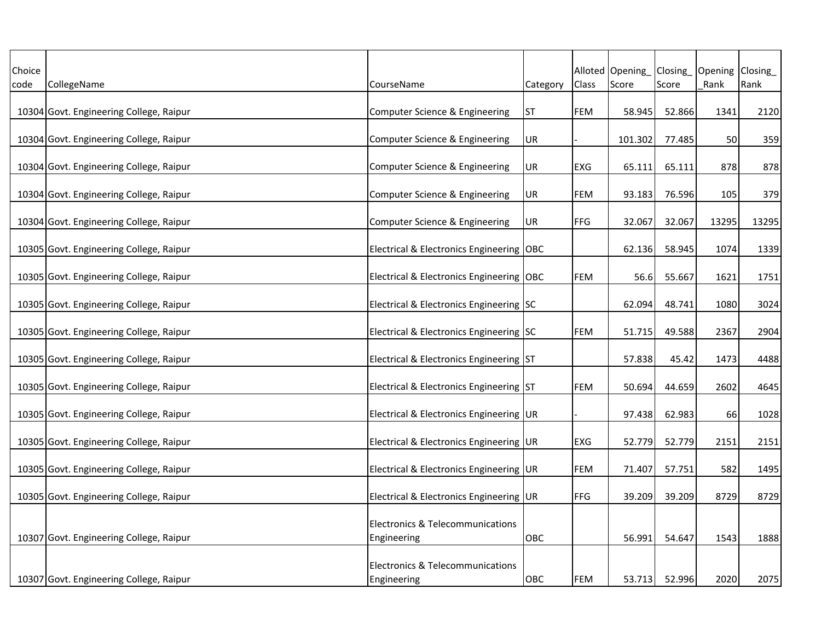| Choice |                                         |                                                            |          |              | Alloted Opening | Closing | Opening Closing |       |
|--------|-----------------------------------------|------------------------------------------------------------|----------|--------------|-----------------|---------|-----------------|-------|
| code   | CollegeName                             | CourseName                                                 | Category | <b>Class</b> | Score           | Score   | Rank            | Rank  |
|        |                                         |                                                            |          |              |                 |         |                 |       |
|        | 10304 Govt. Engineering College, Raipur | Computer Science & Engineering                             | IST      | <b>FEM</b>   | 58.945          | 52.866  | 1341            | 2120  |
|        | 10304 Govt. Engineering College, Raipur | Computer Science & Engineering                             | UR       |              | 101.302         | 77.485  | 50              | 359   |
|        | 10304 Govt. Engineering College, Raipur | Computer Science & Engineering                             | UR       | EXG          | 65.111          | 65.111  | 878             | 878   |
|        | 10304 Govt. Engineering College, Raipur | Computer Science & Engineering                             | UR       | FEM          | 93.183          | 76.596  | 105             | 379   |
|        | 10304 Govt. Engineering College, Raipur | Computer Science & Engineering                             | UR       | <b>FFG</b>   | 32.067          | 32.067  | 13295           | 13295 |
|        | 10305 Govt. Engineering College, Raipur | Electrical & Electronics Engineering   OBC                 |          |              | 62.136          | 58.945  | 1074            | 1339  |
|        | 10305 Govt. Engineering College, Raipur | Electrical & Electronics Engineering   OBC                 |          | <b>FEM</b>   | 56.6            | 55.667  | 1621            | 1751  |
|        | 10305 Govt. Engineering College, Raipur | Electrical & Electronics Engineering SC                    |          |              | 62.094          | 48.741  | 1080            | 3024  |
|        | 10305 Govt. Engineering College, Raipur | Electrical & Electronics Engineering SC                    |          | <b>FEM</b>   | 51.715          | 49.588  | 2367            | 2904  |
|        | 10305 Govt. Engineering College, Raipur | Electrical & Electronics Engineering ST                    |          |              | 57.838          | 45.42   | 1473            | 4488  |
|        | 10305 Govt. Engineering College, Raipur | Electrical & Electronics Engineering ST                    |          | FEM          | 50.694          | 44.659  | 2602            | 4645  |
|        | 10305 Govt. Engineering College, Raipur | Electrical & Electronics Engineering UR                    |          |              | 97.438          | 62.983  | 66              | 1028  |
|        | 10305 Govt. Engineering College, Raipur | Electrical & Electronics Engineering UR                    |          | EXG          | 52.779          | 52.779  | 2151            | 2151  |
|        | 10305 Govt. Engineering College, Raipur | Electrical & Electronics Engineering UR                    |          | FEM          | 71.407          | 57.751  | 582             | 1495  |
|        | 10305 Govt. Engineering College, Raipur | Electrical & Electronics Engineering UR                    |          | FFG          | 39.209          | 39.209  | 8729            | 8729  |
|        |                                         | Electronics & Telecommunications                           |          |              |                 |         |                 |       |
|        | 10307 Govt. Engineering College, Raipur | Engineering                                                | OBC      |              | 56.991          | 54.647  | 1543            | 1888  |
|        | 10307 Govt. Engineering College, Raipur | <b>Electronics &amp; Telecommunications</b><br>Engineering | OBC      | <b>FEM</b>   | 53.713          | 52.996  | 2020            | 2075  |
|        |                                         |                                                            |          |              |                 |         |                 |       |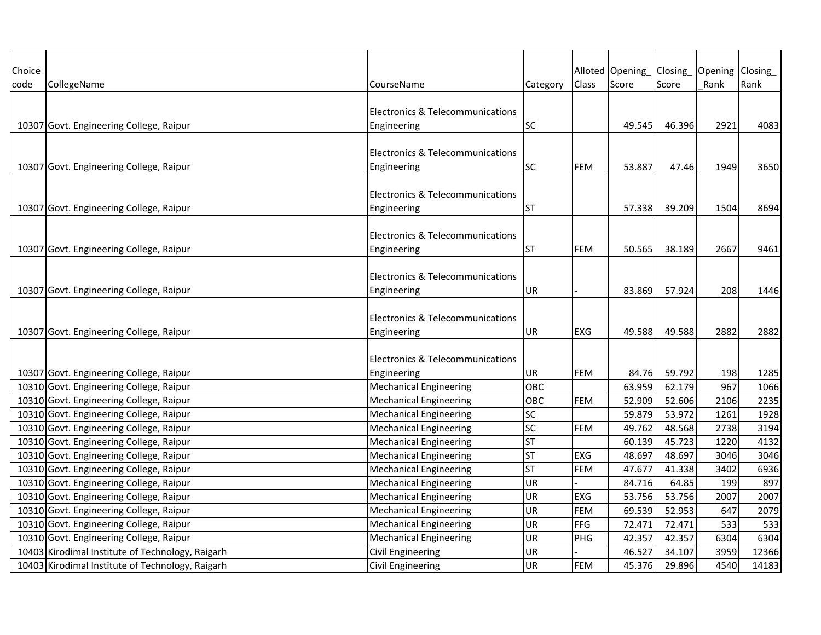| Choice |                                                  |                                             |           |            | Alloted Opening | Closing | Opening Closing |       |
|--------|--------------------------------------------------|---------------------------------------------|-----------|------------|-----------------|---------|-----------------|-------|
| code   | CollegeName                                      | CourseName                                  | Category  | Class      | Score           | Score   | Rank            | Rank  |
|        |                                                  | <b>Electronics &amp; Telecommunications</b> |           |            |                 |         |                 |       |
|        | 10307 Govt. Engineering College, Raipur          | Engineering                                 | SC        |            | 49.545          | 46.396  | 2921            | 4083  |
|        |                                                  |                                             |           |            |                 |         |                 |       |
|        |                                                  | <b>Electronics &amp; Telecommunications</b> |           |            |                 |         |                 |       |
|        | 10307 Govt. Engineering College, Raipur          | Engineering                                 | <b>SC</b> | <b>FEM</b> | 53.887          | 47.46   | 1949            | 3650  |
|        |                                                  |                                             |           |            |                 |         |                 |       |
|        |                                                  | <b>Electronics &amp; Telecommunications</b> |           |            |                 |         |                 |       |
|        | 10307 Govt. Engineering College, Raipur          | Engineering                                 | ST        |            | 57.338          | 39.209  | 1504            | 8694  |
|        |                                                  |                                             |           |            |                 |         |                 |       |
|        |                                                  | <b>Electronics &amp; Telecommunications</b> |           |            |                 |         |                 |       |
|        | 10307 Govt. Engineering College, Raipur          | Engineering                                 | ST        | <b>FEM</b> | 50.565          | 38.189  | 2667            | 9461  |
|        |                                                  |                                             |           |            |                 |         |                 |       |
|        |                                                  | Electronics & Telecommunications            |           |            |                 |         |                 |       |
|        | 10307 Govt. Engineering College, Raipur          | Engineering                                 | UR        |            | 83.869          | 57.924  | 208             | 1446  |
|        |                                                  |                                             |           |            |                 |         |                 |       |
|        |                                                  | <b>Electronics &amp; Telecommunications</b> |           |            |                 |         |                 |       |
|        | 10307 Govt. Engineering College, Raipur          | Engineering                                 | UR        | <b>EXG</b> | 49.588          | 49.588  | 2882            | 2882  |
|        |                                                  |                                             |           |            |                 |         |                 |       |
|        |                                                  | <b>Electronics &amp; Telecommunications</b> |           |            |                 |         |                 |       |
|        | 10307 Govt. Engineering College, Raipur          | Engineering                                 | UR        | FEM        | 84.76           | 59.792  | 198             | 1285  |
|        | 10310 Govt. Engineering College, Raipur          | <b>Mechanical Engineering</b>               | OBC       |            | 63.959          | 62.179  | 967             | 1066  |
|        | 10310 Govt. Engineering College, Raipur          | <b>Mechanical Engineering</b>               | OBC       | <b>FEM</b> | 52.909          | 52.606  | 2106            | 2235  |
|        | 10310 Govt. Engineering College, Raipur          | <b>Mechanical Engineering</b>               | SC        |            | 59.879          | 53.972  | 1261            | 1928  |
|        | 10310 Govt. Engineering College, Raipur          | <b>Mechanical Engineering</b>               | SC        | <b>FEM</b> | 49.762          | 48.568  | 2738            | 3194  |
|        | 10310 Govt. Engineering College, Raipur          | <b>Mechanical Engineering</b>               | ST        |            | 60.139          | 45.723  | 1220            | 4132  |
|        | 10310 Govt. Engineering College, Raipur          | <b>Mechanical Engineering</b>               | <b>ST</b> | <b>EXG</b> | 48.697          | 48.697  | 3046            | 3046  |
|        | 10310 Govt. Engineering College, Raipur          | <b>Mechanical Engineering</b>               | <b>ST</b> | <b>FEM</b> | 47.677          | 41.338  | 3402            | 6936  |
|        | 10310 Govt. Engineering College, Raipur          | <b>Mechanical Engineering</b>               | <b>UR</b> |            | 84.716          | 64.85   | 199             | 897   |
|        | 10310 Govt. Engineering College, Raipur          | <b>Mechanical Engineering</b>               | UR        | <b>EXG</b> | 53.756          | 53.756  | 2007            | 2007  |
|        | 10310 Govt. Engineering College, Raipur          | <b>Mechanical Engineering</b>               | <b>UR</b> | <b>FEM</b> | 69.539          | 52.953  | 647             | 2079  |
|        | 10310 Govt. Engineering College, Raipur          | <b>Mechanical Engineering</b>               | <b>UR</b> | FFG        | 72.471          | 72.471  | 533             | 533   |
|        | 10310 Govt. Engineering College, Raipur          | <b>Mechanical Engineering</b>               | <b>UR</b> | PHG        | 42.357          | 42.357  | 6304            | 6304  |
|        | 10403 Kirodimal Institute of Technology, Raigarh | Civil Engineering                           | UR        |            | 46.527          | 34.107  | 3959            | 12366 |
|        | 10403 Kirodimal Institute of Technology, Raigarh | <b>Civil Engineering</b>                    | <b>UR</b> | <b>FEM</b> | 45.376          | 29.896  | 4540            | 14183 |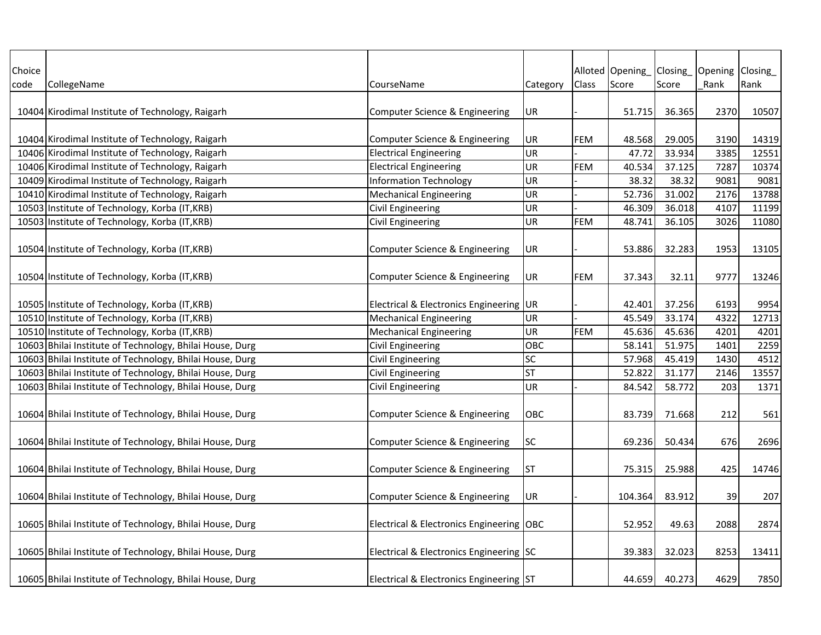| Choice |                                                          |                                            |           |            | Alloted Opening | Closing | Opening Closing |       |
|--------|----------------------------------------------------------|--------------------------------------------|-----------|------------|-----------------|---------|-----------------|-------|
| code   | CollegeName                                              | CourseName                                 | Category  | Class      | Score           | Score   | Rank            | Rank  |
|        |                                                          |                                            |           |            |                 |         |                 |       |
|        | 10404 Kirodimal Institute of Technology, Raigarh         | Computer Science & Engineering             | UR        |            | 51.715          | 36.365  | 2370            | 10507 |
|        |                                                          |                                            |           |            |                 |         |                 |       |
|        | 10404 Kirodimal Institute of Technology, Raigarh         | Computer Science & Engineering             | UR        | <b>FEM</b> | 48.568          | 29.005  | 3190            | 14319 |
|        | 10406 Kirodimal Institute of Technology, Raigarh         | <b>Electrical Engineering</b>              | UR        |            | 47.72           | 33.934  | 3385            | 12551 |
|        | 10406 Kirodimal Institute of Technology, Raigarh         | <b>Electrical Engineering</b>              | UR        | <b>FEM</b> | 40.534          | 37.125  | 7287            | 10374 |
|        | 10409 Kirodimal Institute of Technology, Raigarh         | <b>Information Technology</b>              | UR        |            | 38.32           | 38.32   | 9081            | 9081  |
|        | 10410 Kirodimal Institute of Technology, Raigarh         | <b>Mechanical Engineering</b>              | UR        |            | 52.736          | 31.002  | 2176            | 13788 |
|        | 10503 Institute of Technology, Korba (IT, KRB)           | Civil Engineering                          | UR        |            | 46.309          | 36.018  | 4107            | 11199 |
|        | 10503 Institute of Technology, Korba (IT, KRB)           | <b>Civil Engineering</b>                   | UR        | <b>FEM</b> | 48.741          | 36.105  | 3026            | 11080 |
|        |                                                          |                                            |           |            |                 |         |                 |       |
|        | 10504 Institute of Technology, Korba (IT, KRB)           | Computer Science & Engineering             | UR        |            | 53.886          | 32.283  | 1953            | 13105 |
|        |                                                          |                                            |           |            |                 |         |                 |       |
|        | 10504 Institute of Technology, Korba (IT, KRB)           | Computer Science & Engineering             | UR        | <b>FEM</b> | 37.343          | 32.11   | 9777            | 13246 |
|        |                                                          |                                            |           |            |                 |         |                 |       |
|        | 10505 Institute of Technology, Korba (IT, KRB)           | Electrical & Electronics Engineering   UR  |           |            | 42.401          | 37.256  | 6193            | 9954  |
|        | 10510 Institute of Technology, Korba (IT, KRB)           | <b>Mechanical Engineering</b>              | UR        |            | 45.549          | 33.174  | 4322            | 12713 |
|        | 10510 Institute of Technology, Korba (IT, KRB)           | <b>Mechanical Engineering</b>              | UR        | <b>FEM</b> | 45.636          | 45.636  | 4201            | 4201  |
|        | 10603 Bhilai Institute of Technology, Bhilai House, Durg | <b>Civil Engineering</b>                   | OBC       |            | 58.141          | 51.975  | 1401            | 2259  |
|        | 10603 Bhilai Institute of Technology, Bhilai House, Durg | Civil Engineering                          | <b>SC</b> |            | 57.968          | 45.419  | 1430            | 4512  |
|        | 10603 Bhilai Institute of Technology, Bhilai House, Durg | Civil Engineering                          | <b>ST</b> |            | 52.822          | 31.177  | 2146            | 13557 |
|        | 10603 Bhilai Institute of Technology, Bhilai House, Durg | Civil Engineering                          | UR        |            | 84.542          | 58.772  | 203             | 1371  |
|        |                                                          |                                            |           |            |                 |         |                 |       |
|        | 10604 Bhilai Institute of Technology, Bhilai House, Durg | Computer Science & Engineering             | OBC       |            | 83.739          | 71.668  | 212             | 561   |
|        |                                                          |                                            |           |            |                 |         |                 |       |
|        | 10604 Bhilai Institute of Technology, Bhilai House, Durg | Computer Science & Engineering             | <b>SC</b> |            | 69.236          | 50.434  | 676             | 2696  |
|        |                                                          |                                            |           |            |                 |         |                 |       |
|        | 10604 Bhilai Institute of Technology, Bhilai House, Durg | Computer Science & Engineering             | <b>ST</b> |            | 75.315          | 25.988  | 425             | 14746 |
|        |                                                          |                                            |           |            |                 |         |                 |       |
|        | 10604 Bhilai Institute of Technology, Bhilai House, Durg | Computer Science & Engineering             | UR        |            | 104.364         | 83.912  | 39              | 207   |
|        |                                                          |                                            |           |            |                 |         |                 |       |
|        | 10605 Bhilai Institute of Technology, Bhilai House, Durg | Electrical & Electronics Engineering   OBC |           |            | 52.952          | 49.63   | 2088            | 2874  |
|        |                                                          |                                            |           |            |                 |         |                 |       |
|        | 10605 Bhilai Institute of Technology, Bhilai House, Durg | Electrical & Electronics Engineering SC    |           |            | 39.383          | 32.023  | 8253            | 13411 |
|        |                                                          |                                            |           |            |                 |         |                 |       |
|        | 10605 Bhilai Institute of Technology, Bhilai House, Durg | Electrical & Electronics Engineering ST    |           |            | 44.659          | 40.273  | 4629            | 7850  |
|        |                                                          |                                            |           |            |                 |         |                 |       |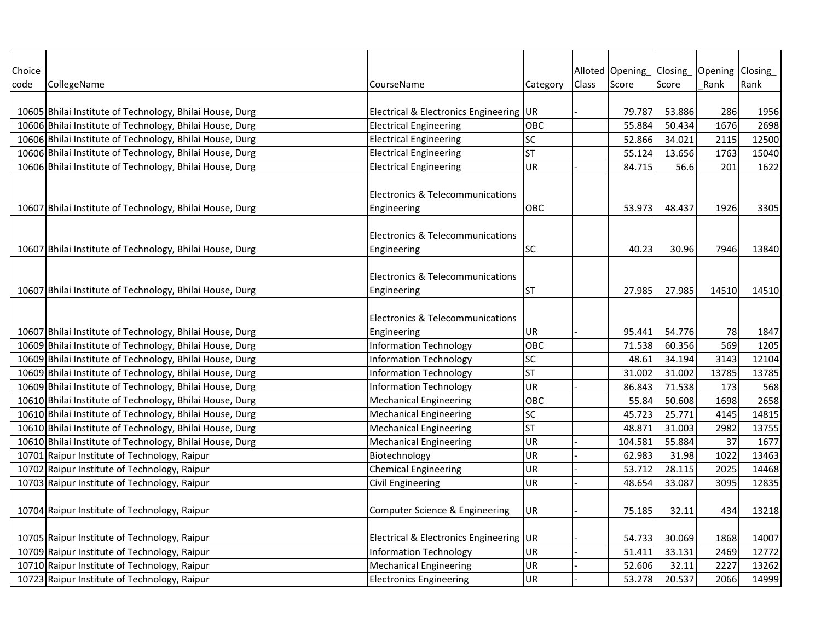| Choice |                                                          |                                             |           |       | Alloted Opening Closing |        | Opening Closing |       |
|--------|----------------------------------------------------------|---------------------------------------------|-----------|-------|-------------------------|--------|-----------------|-------|
| code   | CollegeName                                              | CourseName                                  | Category  | Class | Score                   | Score  | Rank            | Rank  |
|        |                                                          |                                             |           |       |                         |        |                 |       |
|        | 10605 Bhilai Institute of Technology, Bhilai House, Durg | Electrical & Electronics Engineering UR     |           |       | 79.787                  | 53.886 | 286             | 1956  |
|        | 10606 Bhilai Institute of Technology, Bhilai House, Durg | <b>Electrical Engineering</b>               | OBC       |       | 55.884                  | 50.434 | 1676            | 2698  |
|        | 10606 Bhilai Institute of Technology, Bhilai House, Durg | <b>Electrical Engineering</b>               | SC        |       | 52.866                  | 34.021 | 2115            | 12500 |
|        | 10606 Bhilai Institute of Technology, Bhilai House, Durg | <b>Electrical Engineering</b>               | <b>ST</b> |       | 55.124                  | 13.656 | 1763            | 15040 |
|        | 10606 Bhilai Institute of Technology, Bhilai House, Durg | <b>Electrical Engineering</b>               | UR        |       | 84.715                  | 56.6   | 201             | 1622  |
|        |                                                          |                                             |           |       |                         |        |                 |       |
|        |                                                          | Electronics & Telecommunications            |           |       |                         |        |                 |       |
|        | 10607 Bhilai Institute of Technology, Bhilai House, Durg | Engineering                                 | OBC       |       | 53.973                  | 48.437 | 1926            | 3305  |
|        |                                                          |                                             |           |       |                         |        |                 |       |
|        |                                                          | Electronics & Telecommunications            |           |       |                         |        |                 |       |
|        | 10607 Bhilai Institute of Technology, Bhilai House, Durg | Engineering                                 | SC        |       | 40.23                   | 30.96  | 7946            | 13840 |
|        |                                                          |                                             |           |       |                         |        |                 |       |
|        |                                                          | Electronics & Telecommunications            |           |       |                         |        |                 |       |
|        | 10607 Bhilai Institute of Technology, Bhilai House, Durg | Engineering                                 | ST        |       | 27.985                  | 27.985 | 14510           | 14510 |
|        |                                                          |                                             |           |       |                         |        |                 |       |
|        |                                                          | <b>Electronics &amp; Telecommunications</b> |           |       |                         |        |                 |       |
|        | 10607 Bhilai Institute of Technology, Bhilai House, Durg | Engineering                                 | UR        |       | 95.441                  | 54.776 | 78              | 1847  |
|        | 10609 Bhilai Institute of Technology, Bhilai House, Durg | <b>Information Technology</b>               | OBC       |       | 71.538                  | 60.356 | 569             | 1205  |
|        | 10609 Bhilai Institute of Technology, Bhilai House, Durg | <b>Information Technology</b>               | SC        |       | 48.61                   | 34.194 | 3143            | 12104 |
|        | 10609 Bhilai Institute of Technology, Bhilai House, Durg | <b>Information Technology</b>               | <b>ST</b> |       | 31.002                  | 31.002 | 13785           | 13785 |
|        | 10609 Bhilai Institute of Technology, Bhilai House, Durg | <b>Information Technology</b>               | <b>UR</b> |       | 86.843                  | 71.538 | 173             | 568   |
|        | 10610 Bhilai Institute of Technology, Bhilai House, Durg | <b>Mechanical Engineering</b>               | OBC       |       | 55.84                   | 50.608 | 1698            | 2658  |
|        | 10610 Bhilai Institute of Technology, Bhilai House, Durg | <b>Mechanical Engineering</b>               | SC        |       | 45.723                  | 25.771 | 4145            | 14815 |
|        | 10610 Bhilai Institute of Technology, Bhilai House, Durg | <b>Mechanical Engineering</b>               | <b>ST</b> |       | 48.871                  | 31.003 | 2982            | 13755 |
|        | 10610 Bhilai Institute of Technology, Bhilai House, Durg | <b>Mechanical Engineering</b>               | <b>UR</b> |       | 104.581                 | 55.884 | 37              | 1677  |
|        | 10701 Raipur Institute of Technology, Raipur             | Biotechnology                               | <b>UR</b> |       | 62.983                  | 31.98  | 1022            | 13463 |
|        | 10702 Raipur Institute of Technology, Raipur             | <b>Chemical Engineering</b>                 | <b>UR</b> |       | 53.712                  | 28.115 | 2025            | 14468 |
|        | 10703 Raipur Institute of Technology, Raipur             | Civil Engineering                           | UR        |       | 48.654                  | 33.087 | 3095            | 12835 |
|        |                                                          |                                             |           |       |                         |        |                 |       |
|        | 10704 Raipur Institute of Technology, Raipur             | <b>Computer Science &amp; Engineering</b>   | UR        |       | 75.185                  | 32.11  | 434             | 13218 |
|        |                                                          |                                             |           |       |                         |        |                 |       |
|        | 10705 Raipur Institute of Technology, Raipur             | Electrical & Electronics Engineering UR     |           |       | 54.733                  | 30.069 | 1868            | 14007 |
|        | 10709 Raipur Institute of Technology, Raipur             | <b>Information Technology</b>               | UR        |       | 51.411                  | 33.131 | 2469            | 12772 |
|        | 10710 Raipur Institute of Technology, Raipur             | <b>Mechanical Engineering</b>               | UR        |       | 52.606                  | 32.11  | 2227            | 13262 |
|        | 10723 Raipur Institute of Technology, Raipur             | <b>Electronics Engineering</b>              | <b>UR</b> |       | 53.278                  | 20.537 | 2066            | 14999 |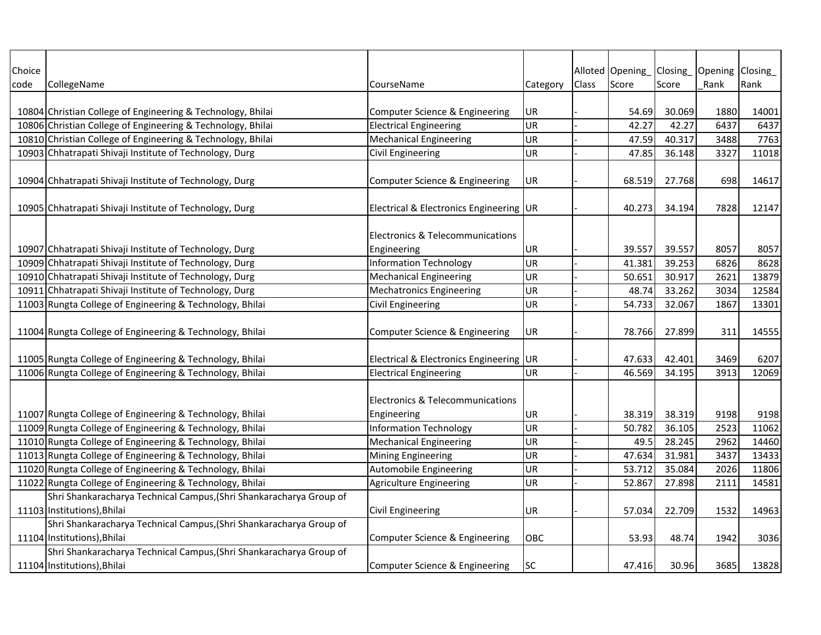| Choice |                                                                     |                                             |            |              | Alloted Opening | Closing | Opening Closing |       |
|--------|---------------------------------------------------------------------|---------------------------------------------|------------|--------------|-----------------|---------|-----------------|-------|
| code   | CollegeName                                                         | CourseName                                  | Category   | <b>Class</b> | Score           | Score   | Rank            | Rank  |
|        |                                                                     |                                             |            |              |                 |         |                 |       |
|        | 10804 Christian College of Engineering & Technology, Bhilai         | Computer Science & Engineering              | UR         |              | 54.69           | 30.069  | 1880            | 14001 |
|        | 10806 Christian College of Engineering & Technology, Bhilai         | <b>Electrical Engineering</b>               | UR         |              | 42.27           | 42.27   | 6437            | 6437  |
|        | 10810 Christian College of Engineering & Technology, Bhilai         | <b>Mechanical Engineering</b>               | UR         |              | 47.59           | 40.317  | 3488            | 7763  |
|        | 10903 Chhatrapati Shivaji Institute of Technology, Durg             | Civil Engineering                           | UR         |              | 47.85           | 36.148  | 3327            | 11018 |
|        |                                                                     |                                             |            |              |                 |         |                 |       |
|        | 10904 Chhatrapati Shivaji Institute of Technology, Durg             | Computer Science & Engineering              | UR         |              | 68.519          | 27.768  | 698             | 14617 |
|        |                                                                     |                                             |            |              |                 |         |                 |       |
|        | 10905 Chhatrapati Shivaji Institute of Technology, Durg             | Electrical & Electronics Engineering UR     |            |              | 40.273          | 34.194  | 7828            | 12147 |
|        |                                                                     |                                             |            |              |                 |         |                 |       |
|        |                                                                     | <b>Electronics &amp; Telecommunications</b> |            |              |                 |         |                 |       |
|        | 10907 Chhatrapati Shivaji Institute of Technology, Durg             | Engineering                                 | UR         |              | 39.557          | 39.557  | 8057            | 8057  |
|        | 10909 Chhatrapati Shivaji Institute of Technology, Durg             | <b>Information Technology</b>               | UR         |              | 41.381          | 39.253  | 6826            | 8628  |
|        | 10910 Chhatrapati Shivaji Institute of Technology, Durg             | <b>Mechanical Engineering</b>               | UR         |              | 50.651          | 30.917  | 2621            | 13879 |
|        | 10911 Chhatrapati Shivaji Institute of Technology, Durg             | <b>Mechatronics Engineering</b>             | UR         |              | 48.74           | 33.262  | 3034            | 12584 |
|        | 11003 Rungta College of Engineering & Technology, Bhilai            | Civil Engineering                           | UR         |              | 54.733          | 32.067  | 1867            | 13301 |
|        |                                                                     |                                             |            |              |                 |         |                 |       |
|        | 11004 Rungta College of Engineering & Technology, Bhilai            | Computer Science & Engineering              | UR         |              | 78.766          | 27.899  | 311             | 14555 |
|        |                                                                     |                                             |            |              |                 |         |                 |       |
|        | 11005 Rungta College of Engineering & Technology, Bhilai            | Electrical & Electronics Engineering UR     |            |              | 47.633          | 42.401  | 3469            | 6207  |
|        | 11006 Rungta College of Engineering & Technology, Bhilai            | <b>Electrical Engineering</b>               | UR         |              | 46.569          | 34.195  | 3913            | 12069 |
|        |                                                                     |                                             |            |              |                 |         |                 |       |
|        |                                                                     | <b>Electronics &amp; Telecommunications</b> |            |              |                 |         |                 |       |
|        | 11007 Rungta College of Engineering & Technology, Bhilai            | Engineering                                 | UR         |              | 38.319          | 38.319  | 9198            | 9198  |
|        | 11009 Rungta College of Engineering & Technology, Bhilai            | <b>Information Technology</b>               | UR         |              | 50.782          | 36.105  | 2523            | 11062 |
|        | 11010 Rungta College of Engineering & Technology, Bhilai            | <b>Mechanical Engineering</b>               | UR         |              | 49.5            | 28.245  | 2962            | 14460 |
|        | 11013 Rungta College of Engineering & Technology, Bhilai            | <b>Mining Engineering</b>                   | UR         |              | 47.634          | 31.981  | 3437            | 13433 |
|        | 11020 Rungta College of Engineering & Technology, Bhilai            | Automobile Engineering                      | UR         |              | 53.712          | 35.084  | 2026            | 11806 |
|        | 11022 Rungta College of Engineering & Technology, Bhilai            | <b>Agriculture Engineering</b>              | UR         |              | 52.867          | 27.898  | 2111            | 14581 |
|        | Shri Shankaracharya Technical Campus, (Shri Shankaracharya Group of |                                             |            |              |                 |         |                 |       |
|        | 11103 Institutions), Bhilai                                         | Civil Engineering                           | UR         |              | 57.034          | 22.709  | 1532            | 14963 |
|        | Shri Shankaracharya Technical Campus, (Shri Shankaracharya Group of |                                             |            |              |                 |         |                 |       |
|        | 11104 Institutions), Bhilai                                         | Computer Science & Engineering              | <b>OBC</b> |              | 53.93           | 48.74   | 1942            | 3036  |
|        | Shri Shankaracharya Technical Campus, (Shri Shankaracharya Group of |                                             |            |              |                 |         |                 |       |
|        | 11104 Institutions), Bhilai                                         | Computer Science & Engineering              | lsc        |              | 47.416          | 30.96   | 3685            | 13828 |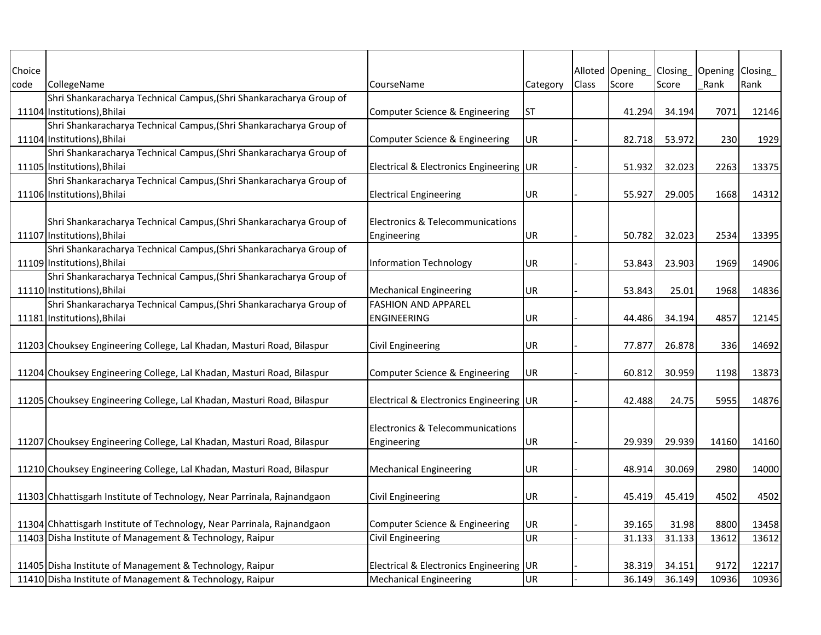| Choice |                                                                         |                                         |            |       | Alloted Opening Closing |        | Opening Closing |       |
|--------|-------------------------------------------------------------------------|-----------------------------------------|------------|-------|-------------------------|--------|-----------------|-------|
| code   | CollegeName                                                             | CourseName                              | Category   | Class | Score                   | Score  | Rank            | Rank  |
|        | Shri Shankaracharya Technical Campus, (Shri Shankaracharya Group of     |                                         |            |       |                         |        |                 |       |
|        | 11104 Institutions), Bhilai                                             | Computer Science & Engineering          | <b>ST</b>  |       | 41.294                  | 34.194 | 7071            | 12146 |
|        | Shri Shankaracharya Technical Campus, (Shri Shankaracharya Group of     |                                         |            |       |                         |        |                 |       |
|        | 11104 Institutions), Bhilai                                             | Computer Science & Engineering          | <b>UR</b>  |       | 82.718                  | 53.972 | 230             | 1929  |
|        | Shri Shankaracharya Technical Campus, (Shri Shankaracharya Group of     |                                         |            |       |                         |        |                 |       |
|        | 11105 Institutions), Bhilai                                             | Electrical & Electronics Engineering UR |            |       | 51.932                  | 32.023 | 2263            | 13375 |
|        | Shri Shankaracharya Technical Campus, (Shri Shankaracharya Group of     |                                         |            |       |                         |        |                 |       |
|        | 11106 Institutions), Bhilai                                             | <b>Electrical Engineering</b>           | UR         |       | 55.927                  | 29.005 | 1668            | 14312 |
|        |                                                                         |                                         |            |       |                         |        |                 |       |
|        | Shri Shankaracharya Technical Campus, (Shri Shankaracharya Group of     | Electronics & Telecommunications        |            |       |                         |        |                 |       |
|        | 11107 Institutions), Bhilai                                             | Engineering                             | UR         |       | 50.782                  | 32.023 | 2534            | 13395 |
|        | Shri Shankaracharya Technical Campus, (Shri Shankaracharya Group of     |                                         |            |       |                         |        |                 |       |
|        | 11109 Institutions), Bhilai                                             | <b>Information Technology</b>           | UR         |       | 53.843                  | 23.903 | 1969            | 14906 |
|        | Shri Shankaracharya Technical Campus, (Shri Shankaracharya Group of     |                                         |            |       |                         |        |                 |       |
|        | 11110 Institutions), Bhilai                                             | <b>Mechanical Engineering</b>           | UR         |       | 53.843                  | 25.01  | 1968            | 14836 |
|        | Shri Shankaracharya Technical Campus, (Shri Shankaracharya Group of     | <b>FASHION AND APPAREL</b>              |            |       |                         |        |                 |       |
|        | 11181 Institutions), Bhilai                                             | <b>ENGINEERING</b>                      | UR         |       | 44.486                  | 34.194 | 4857            | 12145 |
|        |                                                                         |                                         |            |       |                         |        |                 |       |
|        | 11203 Chouksey Engineering College, Lal Khadan, Masturi Road, Bilaspur  | <b>Civil Engineering</b>                | UR         |       | 77.877                  | 26.878 | 336             | 14692 |
|        |                                                                         |                                         |            |       |                         |        |                 |       |
|        | 11204 Chouksey Engineering College, Lal Khadan, Masturi Road, Bilaspur  | Computer Science & Engineering          | UR.        |       | 60.812                  | 30.959 | 1198            | 13873 |
|        |                                                                         |                                         |            |       |                         |        |                 |       |
|        | 11205 Chouksey Engineering College, Lal Khadan, Masturi Road, Bilaspur  | Electrical & Electronics Engineering UR |            |       | 42.488                  | 24.75  | 5955            | 14876 |
|        |                                                                         |                                         |            |       |                         |        |                 |       |
|        |                                                                         | Electronics & Telecommunications        |            |       |                         |        |                 |       |
|        | 11207 Chouksey Engineering College, Lal Khadan, Masturi Road, Bilaspur  | Engineering                             | UR         |       | 29.939                  | 29.939 | 14160           | 14160 |
|        |                                                                         |                                         |            |       |                         |        |                 |       |
|        | 11210 Chouksey Engineering College, Lal Khadan, Masturi Road, Bilaspur  | <b>Mechanical Engineering</b>           | UR         |       | 48.914                  | 30.069 | 2980            | 14000 |
|        |                                                                         |                                         |            |       |                         |        |                 |       |
|        | 11303 Chhattisgarh Institute of Technology, Near Parrinala, Rajnandgaon | <b>Civil Engineering</b>                | UR         |       | 45.419                  | 45.419 | 4502            | 4502  |
|        |                                                                         |                                         |            |       |                         |        |                 |       |
|        | 11304 Chhattisgarh Institute of Technology, Near Parrinala, Rajnandgaon | Computer Science & Engineering          | UR.        |       | 39.165                  | 31.98  | 8800            | 13458 |
|        | 11403 Disha Institute of Management & Technology, Raipur                | <b>Civil Engineering</b>                | <b>UR</b>  |       | 31.133                  | 31.133 | 13612           | 13612 |
|        |                                                                         |                                         |            |       |                         |        |                 |       |
|        | 11405 Disha Institute of Management & Technology, Raipur                | Electrical & Electronics Engineering    | <b>IUR</b> |       | 38.319                  | 34.151 | 9172            | 12217 |
|        | 11410 Disha Institute of Management & Technology, Raipur                | <b>Mechanical Engineering</b>           | UR         |       | 36.149                  | 36.149 | 10936           | 10936 |
|        |                                                                         |                                         |            |       |                         |        |                 |       |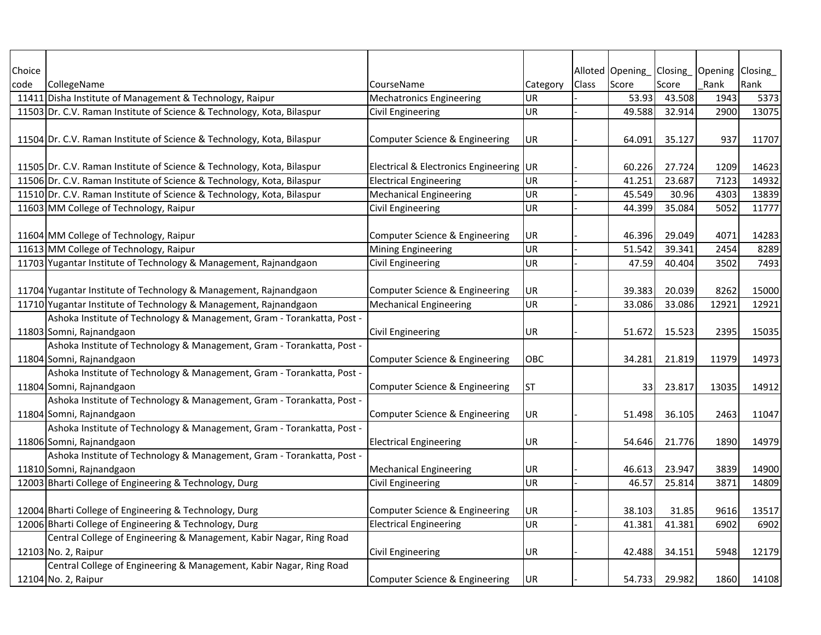| Choice |                                                                        |                                                 |           |       | Alloted Opening   Closing   Opening   Closing |        |       |       |
|--------|------------------------------------------------------------------------|-------------------------------------------------|-----------|-------|-----------------------------------------------|--------|-------|-------|
| code   | CollegeName                                                            | CourseName                                      | Category  | Class | Score                                         | Score  | Rank  | Rank  |
|        | 11411 Disha Institute of Management & Technology, Raipur               | <b>Mechatronics Engineering</b>                 | UR        |       | 53.93                                         | 43.508 | 1943  | 5373  |
|        | 11503 Dr. C.V. Raman Institute of Science & Technology, Kota, Bilaspur | Civil Engineering                               | <b>UR</b> |       | 49.588                                        | 32.914 | 2900  | 13075 |
|        |                                                                        |                                                 |           |       |                                               |        |       |       |
|        | 11504 Dr. C.V. Raman Institute of Science & Technology, Kota, Bilaspur | Computer Science & Engineering                  | UR        |       | 64.091                                        | 35.127 | 937   | 11707 |
|        |                                                                        |                                                 |           |       |                                               |        |       |       |
|        | 11505 Dr. C.V. Raman Institute of Science & Technology, Kota, Bilaspur | <b>Electrical &amp; Electronics Engineering</b> | UR        |       | 60.226                                        | 27.724 | 1209  | 14623 |
|        | 11506 Dr. C.V. Raman Institute of Science & Technology, Kota, Bilaspur | <b>Electrical Engineering</b>                   | <b>UR</b> |       | 41.251                                        | 23.687 | 7123  | 14932 |
|        | 11510 Dr. C.V. Raman Institute of Science & Technology, Kota, Bilaspur | <b>Mechanical Engineering</b>                   | UR        |       | 45.549                                        | 30.96  | 4303  | 13839 |
|        | 11603 MM College of Technology, Raipur                                 | Civil Engineering                               | UR        |       | 44.399                                        | 35.084 | 5052  | 11777 |
|        |                                                                        |                                                 |           |       |                                               |        |       |       |
|        | 11604 MM College of Technology, Raipur                                 | Computer Science & Engineering                  | UR        |       | 46.396                                        | 29.049 | 4071  | 14283 |
|        | 11613 MM College of Technology, Raipur                                 | Mining Engineering                              | <b>UR</b> |       | 51.542                                        | 39.341 | 2454  | 8289  |
|        | 11703 Yugantar Institute of Technology & Management, Rajnandgaon       | Civil Engineering                               | UR        |       | 47.59                                         | 40.404 | 3502  | 7493  |
|        |                                                                        |                                                 |           |       |                                               |        |       |       |
|        | 11704 Yugantar Institute of Technology & Management, Rajnandgaon       | Computer Science & Engineering                  | UR        |       | 39.383                                        | 20.039 | 8262  | 15000 |
|        | 11710 Yugantar Institute of Technology & Management, Rajnandgaon       | <b>Mechanical Engineering</b>                   | UR        |       | 33.086                                        | 33.086 | 12921 | 12921 |
|        | Ashoka Institute of Technology & Management, Gram - Torankatta, Post - |                                                 |           |       |                                               |        |       |       |
|        | 11803 Somni, Rajnandgaon                                               | Civil Engineering                               | UR        |       | 51.672                                        | 15.523 | 2395  | 15035 |
|        | Ashoka Institute of Technology & Management, Gram - Torankatta, Post - |                                                 |           |       |                                               |        |       |       |
|        | 11804 Somni, Rajnandgaon                                               | Computer Science & Engineering                  | OBC       |       | 34.281                                        | 21.819 | 11979 | 14973 |
|        | Ashoka Institute of Technology & Management, Gram - Torankatta, Post - |                                                 |           |       |                                               |        |       |       |
|        | 11804 Somni, Rajnandgaon                                               | Computer Science & Engineering                  | <b>ST</b> |       | 33                                            | 23.817 | 13035 | 14912 |
|        | Ashoka Institute of Technology & Management, Gram - Torankatta, Post - |                                                 |           |       |                                               |        |       |       |
|        | 11804 Somni, Rajnandgaon                                               | Computer Science & Engineering                  | UR        |       | 51.498                                        | 36.105 | 2463  | 11047 |
|        | Ashoka Institute of Technology & Management, Gram - Torankatta, Post - |                                                 |           |       |                                               |        |       |       |
|        | 11806 Somni, Rajnandgaon                                               | <b>Electrical Engineering</b>                   | UR        |       | 54.646                                        | 21.776 | 1890  | 14979 |
|        | Ashoka Institute of Technology & Management, Gram - Torankatta, Post - |                                                 |           |       |                                               |        |       |       |
|        | 11810 Somni, Rajnandgaon                                               | <b>Mechanical Engineering</b>                   | UR        |       | 46.613                                        | 23.947 | 3839  | 14900 |
|        | 12003 Bharti College of Engineering & Technology, Durg                 | Civil Engineering                               | UR        |       | 46.57                                         | 25.814 | 3871  | 14809 |
|        |                                                                        |                                                 |           |       |                                               |        |       |       |
|        | 12004 Bharti College of Engineering & Technology, Durg                 | Computer Science & Engineering                  | UR        |       | 38.103                                        | 31.85  | 9616  | 13517 |
|        | 12006 Bharti College of Engineering & Technology, Durg                 | <b>Electrical Engineering</b>                   | <b>UR</b> |       | 41.381                                        | 41.381 | 6902  | 6902  |
|        | Central College of Engineering & Management, Kabir Nagar, Ring Road    |                                                 |           |       |                                               |        |       |       |
|        | 12103 No. 2, Raipur                                                    | <b>Civil Engineering</b>                        | UR        |       | 42.488                                        | 34.151 | 5948  | 12179 |
|        | Central College of Engineering & Management, Kabir Nagar, Ring Road    |                                                 |           |       |                                               |        |       |       |
|        | 12104 No. 2, Raipur                                                    | Computer Science & Engineering                  | UR        |       | 54.7331                                       | 29.982 | 1860  | 14108 |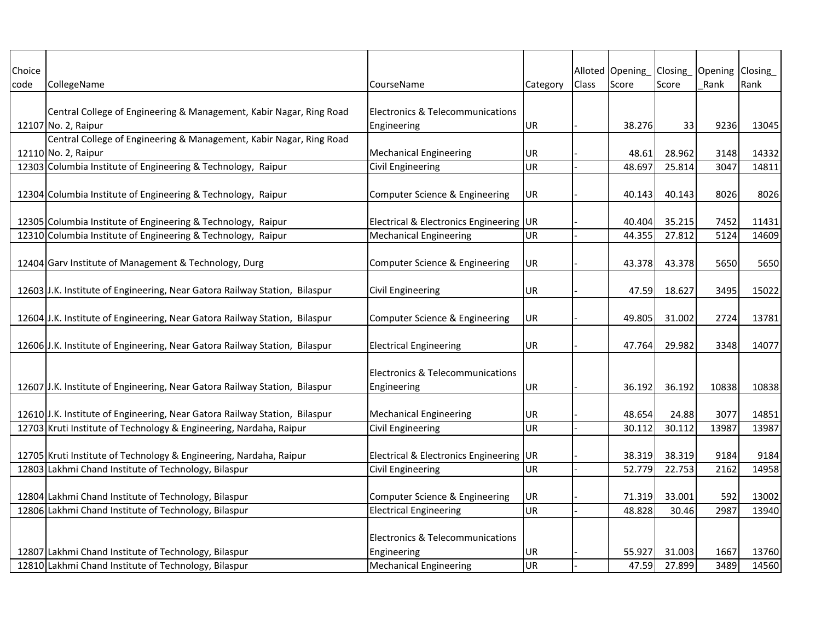| Choice |                                                                                            |                                                 |           |       | Alloted Opening | Closing | Opening Closing |       |
|--------|--------------------------------------------------------------------------------------------|-------------------------------------------------|-----------|-------|-----------------|---------|-----------------|-------|
| code   | CollegeName                                                                                | CourseName                                      | Category  | Class | Score           | Score   | Rank            | Rank  |
|        |                                                                                            |                                                 |           |       |                 |         |                 |       |
|        | Central College of Engineering & Management, Kabir Nagar, Ring Road                        | <b>Electronics &amp; Telecommunications</b>     |           |       |                 |         |                 |       |
|        | 12107 No. 2, Raipur<br>Central College of Engineering & Management, Kabir Nagar, Ring Road | Engineering                                     | UR        |       | 38.276          | 33      | 9236            | 13045 |
|        | 12110 No. 2, Raipur                                                                        | <b>Mechanical Engineering</b>                   | UR        |       | 48.61           | 28.962  | 3148            | 14332 |
|        | 12303 Columbia Institute of Engineering & Technology, Raipur                               | Civil Engineering                               | <b>UR</b> |       | 48.697          | 25.814  | 3047            | 14811 |
|        |                                                                                            |                                                 |           |       |                 |         |                 |       |
|        | 12304 Columbia Institute of Engineering & Technology, Raipur                               | Computer Science & Engineering                  | UR        |       | 40.143          | 40.143  | 8026            | 8026  |
|        |                                                                                            |                                                 |           |       |                 |         |                 |       |
|        | 12305 Columbia Institute of Engineering & Technology, Raipur                               | <b>Electrical &amp; Electronics Engineering</b> | <b>UR</b> |       | 40.404          | 35.215  | 7452            | 11431 |
|        | 12310 Columbia Institute of Engineering & Technology, Raipur                               | <b>Mechanical Engineering</b>                   | <b>UR</b> |       | 44.355          | 27.812  | 5124            | 14609 |
|        |                                                                                            |                                                 |           |       |                 |         |                 |       |
|        | 12404 Garv Institute of Management & Technology, Durg                                      | Computer Science & Engineering                  | UR        |       | 43.378          | 43.378  | 5650            | 5650  |
|        |                                                                                            |                                                 |           |       |                 |         |                 |       |
|        | 12603 J.K. Institute of Engineering, Near Gatora Railway Station, Bilaspur                 | Civil Engineering                               | UR        |       | 47.59           | 18.627  | 3495            | 15022 |
|        |                                                                                            |                                                 |           |       |                 |         |                 |       |
|        | 12604 J.K. Institute of Engineering, Near Gatora Railway Station, Bilaspur                 | Computer Science & Engineering                  | UR        |       | 49.805          | 31.002  | 2724            | 13781 |
|        |                                                                                            |                                                 |           |       |                 |         |                 |       |
|        | 12606 J.K. Institute of Engineering, Near Gatora Railway Station, Bilaspur                 | <b>Electrical Engineering</b>                   | UR        |       | 47.764          | 29.982  | 3348            | 14077 |
|        |                                                                                            | Electronics & Telecommunications                |           |       |                 |         |                 |       |
|        | 12607 J.K. Institute of Engineering, Near Gatora Railway Station, Bilaspur                 | Engineering                                     | UR        |       | 36.192          | 36.192  | 10838           | 10838 |
|        |                                                                                            |                                                 |           |       |                 |         |                 |       |
|        | 12610 J.K. Institute of Engineering, Near Gatora Railway Station, Bilaspur                 | <b>Mechanical Engineering</b>                   | UR        |       | 48.654          | 24.88   | 3077            | 14851 |
|        | 12703 Kruti Institute of Technology & Engineering, Nardaha, Raipur                         | Civil Engineering                               | <b>UR</b> |       | 30.112          | 30.112  | 13987           | 13987 |
|        |                                                                                            |                                                 |           |       |                 |         |                 |       |
|        | 12705 Kruti Institute of Technology & Engineering, Nardaha, Raipur                         | <b>Electrical &amp; Electronics Engineering</b> | <b>UR</b> |       | 38.319          | 38.319  | 9184            | 9184  |
|        | 12803 Lakhmi Chand Institute of Technology, Bilaspur                                       | <b>Civil Engineering</b>                        | <b>UR</b> |       | 52.779          | 22.753  | 2162            | 14958 |
|        |                                                                                            |                                                 |           |       |                 |         |                 |       |
|        | 12804 Lakhmi Chand Institute of Technology, Bilaspur                                       | Computer Science & Engineering                  | UR        |       | 71.319          | 33.001  | 592             | 13002 |
|        | 12806 Lakhmi Chand Institute of Technology, Bilaspur                                       | <b>Electrical Engineering</b>                   | <b>UR</b> |       | 48.828          | 30.46   | 2987            | 13940 |
|        |                                                                                            |                                                 |           |       |                 |         |                 |       |
|        |                                                                                            | <b>Electronics &amp; Telecommunications</b>     |           |       |                 |         |                 |       |
|        | 12807 Lakhmi Chand Institute of Technology, Bilaspur                                       | Engineering                                     | UR        |       | 55.927          | 31.003  | 1667            | 13760 |
|        | 12810 Lakhmi Chand Institute of Technology, Bilaspur                                       | <b>Mechanical Engineering</b>                   | <b>UR</b> |       | 47.59           | 27.899  | 3489            | 14560 |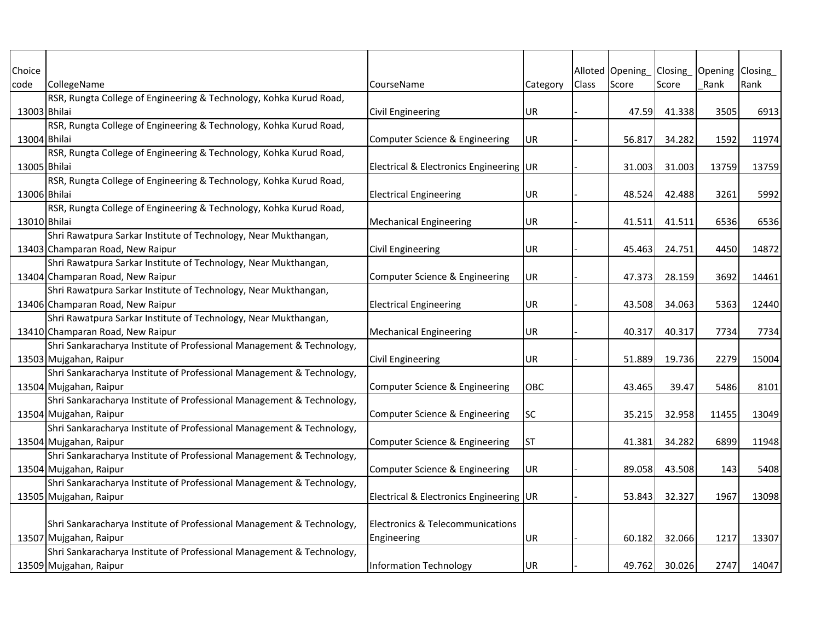| Choice       |                                                                       |                                         |           |              | Alloted Opening_Closing_ |        | Opening Closing |       |
|--------------|-----------------------------------------------------------------------|-----------------------------------------|-----------|--------------|--------------------------|--------|-----------------|-------|
| code         | CollegeName                                                           | CourseName                              | Category  | <b>Class</b> | Score                    | Score  | Rank            | Rank  |
|              | RSR, Rungta College of Engineering & Technology, Kohka Kurud Road,    |                                         |           |              |                          |        |                 |       |
| 13003 Bhilai |                                                                       | Civil Engineering                       | <b>UR</b> |              | 47.59                    | 41.338 | 3505            | 6913  |
|              | RSR, Rungta College of Engineering & Technology, Kohka Kurud Road,    |                                         |           |              |                          |        |                 |       |
| 13004 Bhilai |                                                                       | Computer Science & Engineering          | <b>UR</b> |              | 56.817                   | 34.282 | 1592            | 11974 |
|              | RSR, Rungta College of Engineering & Technology, Kohka Kurud Road,    |                                         |           |              |                          |        |                 |       |
| 13005 Bhilai |                                                                       | Electrical & Electronics Engineering UR |           |              | 31.003                   | 31.003 | 13759           | 13759 |
|              | RSR, Rungta College of Engineering & Technology, Kohka Kurud Road,    |                                         |           |              |                          |        |                 |       |
| 13006 Bhilai |                                                                       | <b>Electrical Engineering</b>           | UR        |              | 48.524                   | 42.488 | 3261            | 5992  |
|              | RSR, Rungta College of Engineering & Technology, Kohka Kurud Road,    |                                         |           |              |                          |        |                 |       |
| 13010 Bhilai |                                                                       | <b>Mechanical Engineering</b>           | UR        |              | 41.511                   | 41.511 | 6536            | 6536  |
|              | Shri Rawatpura Sarkar Institute of Technology, Near Mukthangan,       |                                         |           |              |                          |        |                 |       |
|              | 13403 Champaran Road, New Raipur                                      | <b>Civil Engineering</b>                | UR        |              | 45.463                   | 24.751 | 4450            | 14872 |
|              | Shri Rawatpura Sarkar Institute of Technology, Near Mukthangan,       |                                         |           |              |                          |        |                 |       |
|              | 13404 Champaran Road, New Raipur                                      | Computer Science & Engineering          | UR        |              | 47.373                   | 28.159 | 3692            | 14461 |
|              | Shri Rawatpura Sarkar Institute of Technology, Near Mukthangan,       |                                         |           |              |                          |        |                 |       |
|              | 13406 Champaran Road, New Raipur                                      | <b>Electrical Engineering</b>           | UR.       |              | 43.508                   | 34.063 | 5363            | 12440 |
|              | Shri Rawatpura Sarkar Institute of Technology, Near Mukthangan,       |                                         |           |              |                          |        |                 |       |
|              | 13410 Champaran Road, New Raipur                                      | <b>Mechanical Engineering</b>           | UR        |              | 40.317                   | 40.317 | 7734            | 7734  |
|              | Shri Sankaracharya Institute of Professional Management & Technology, |                                         |           |              |                          |        |                 |       |
|              | 13503 Mujgahan, Raipur                                                | <b>Civil Engineering</b>                | UR        |              | 51.889                   | 19.736 | 2279            | 15004 |
|              | Shri Sankaracharya Institute of Professional Management & Technology, |                                         |           |              |                          |        |                 |       |
|              | 13504 Mujgahan, Raipur                                                | Computer Science & Engineering          | OBC       |              | 43.465                   | 39.47  | 5486            | 8101  |
|              | Shri Sankaracharya Institute of Professional Management & Technology, |                                         |           |              |                          |        |                 |       |
|              | 13504 Mujgahan, Raipur                                                | Computer Science & Engineering          | SC        |              | 35.215                   | 32.958 | 11455           | 13049 |
|              | Shri Sankaracharya Institute of Professional Management & Technology, |                                         |           |              |                          |        |                 |       |
|              | 13504 Mujgahan, Raipur                                                | Computer Science & Engineering          | <b>ST</b> |              | 41.381                   | 34.282 | 6899            | 11948 |
|              | Shri Sankaracharya Institute of Professional Management & Technology, |                                         |           |              |                          |        |                 |       |
|              | 13504 Mujgahan, Raipur                                                | Computer Science & Engineering          | UR        |              | 89.058                   | 43.508 | 143             | 5408  |
|              | Shri Sankaracharya Institute of Professional Management & Technology, |                                         |           |              |                          |        |                 |       |
|              | 13505 Mujgahan, Raipur                                                | Electrical & Electronics Engineering UR |           |              | 53.843                   | 32.327 | 1967            | 13098 |
|              |                                                                       |                                         |           |              |                          |        |                 |       |
|              | Shri Sankaracharya Institute of Professional Management & Technology, | Electronics & Telecommunications        |           |              |                          |        |                 |       |
|              | 13507 Mujgahan, Raipur                                                | Engineering                             | UR        |              | 60.182                   | 32.066 | 1217            | 13307 |
|              | Shri Sankaracharya Institute of Professional Management & Technology, |                                         |           |              |                          |        |                 |       |
|              | 13509 Mujgahan, Raipur                                                | <b>Information Technology</b>           | UR        |              | 49.762                   | 30.026 | 2747            | 14047 |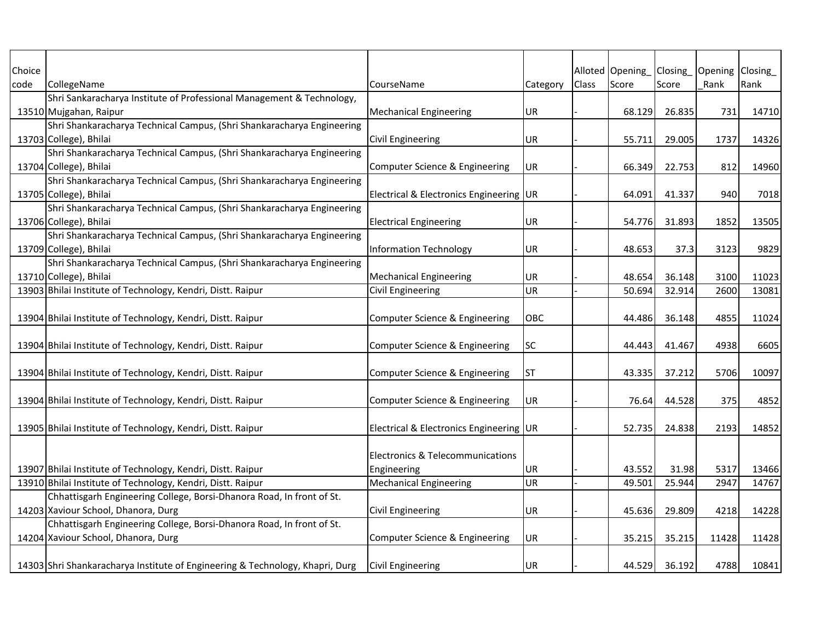| Choice |                                                                               |                                             |          |       | Alloted Opening | Closing | Opening Closing |       |
|--------|-------------------------------------------------------------------------------|---------------------------------------------|----------|-------|-----------------|---------|-----------------|-------|
| code   | CollegeName                                                                   | CourseName                                  | Category | Class | Score           | Score   | Rank            | Rank  |
|        | Shri Sankaracharya Institute of Professional Management & Technology,         |                                             |          |       |                 |         |                 |       |
|        | 13510 Mujgahan, Raipur                                                        | <b>Mechanical Engineering</b>               | UR       |       | 68.129          | 26.835  | 731             | 14710 |
|        | Shri Shankaracharya Technical Campus, (Shri Shankaracharya Engineering        |                                             |          |       |                 |         |                 |       |
|        | 13703 College), Bhilai                                                        | <b>Civil Engineering</b>                    | UR       |       | 55.711          | 29.005  | 1737            | 14326 |
|        | Shri Shankaracharya Technical Campus, (Shri Shankaracharya Engineering        |                                             |          |       |                 |         |                 |       |
|        | 13704 College), Bhilai                                                        | Computer Science & Engineering              | UR       |       | 66.349          | 22.753  | 812             | 14960 |
|        | Shri Shankaracharya Technical Campus, (Shri Shankaracharya Engineering        |                                             |          |       |                 |         |                 |       |
|        | 13705 College), Bhilai                                                        | Electrical & Electronics Engineering UR     |          |       | 64.091          | 41.337  | 940             | 7018  |
|        | Shri Shankaracharya Technical Campus, (Shri Shankaracharya Engineering        |                                             |          |       |                 |         |                 |       |
|        | 13706 College), Bhilai                                                        | <b>Electrical Engineering</b>               | UR       |       | 54.776          | 31.893  | 1852            | 13505 |
|        | Shri Shankaracharya Technical Campus, (Shri Shankaracharya Engineering        |                                             |          |       |                 |         |                 |       |
|        | 13709 College), Bhilai                                                        | <b>Information Technology</b>               | UR       |       | 48.653          | 37.3    | 3123            | 9829  |
|        | Shri Shankaracharya Technical Campus, (Shri Shankaracharya Engineering        |                                             |          |       |                 |         |                 |       |
|        | 13710 College), Bhilai                                                        | <b>Mechanical Engineering</b>               | UR       |       | 48.654          | 36.148  | 3100            | 11023 |
|        | 13903 Bhilai Institute of Technology, Kendri, Distt. Raipur                   | <b>Civil Engineering</b>                    | UR       |       | 50.694          | 32.914  | 2600            | 13081 |
|        |                                                                               |                                             |          |       |                 |         |                 |       |
|        | 13904 Bhilai Institute of Technology, Kendri, Distt. Raipur                   | Computer Science & Engineering              | OBC      |       | 44.486          | 36.148  | 4855            | 11024 |
|        |                                                                               |                                             |          |       |                 |         |                 |       |
|        | 13904 Bhilai Institute of Technology, Kendri, Distt. Raipur                   | <b>Computer Science &amp; Engineering</b>   | SC       |       | 44.443          | 41.467  | 4938            | 6605  |
|        |                                                                               |                                             |          |       |                 |         |                 |       |
|        | 13904 Bhilai Institute of Technology, Kendri, Distt. Raipur                   | <b>Computer Science &amp; Engineering</b>   | ST       |       | 43.335          | 37.212  | 5706            | 10097 |
|        |                                                                               |                                             |          |       |                 |         |                 |       |
|        | 13904 Bhilai Institute of Technology, Kendri, Distt. Raipur                   | Computer Science & Engineering              | UR       |       | 76.64           | 44.528  | 375             | 4852  |
|        |                                                                               |                                             |          |       |                 |         |                 |       |
|        | 13905 Bhilai Institute of Technology, Kendri, Distt. Raipur                   | Electrical & Electronics Engineering UR     |          |       | 52.735          | 24.838  | 2193            | 14852 |
|        |                                                                               |                                             |          |       |                 |         |                 |       |
|        |                                                                               | <b>Electronics &amp; Telecommunications</b> |          |       |                 |         |                 |       |
|        | 13907 Bhilai Institute of Technology, Kendri, Distt. Raipur                   | Engineering                                 | UR       |       | 43.552          | 31.98   | 5317            | 13466 |
|        | 13910 Bhilai Institute of Technology, Kendri, Distt. Raipur                   | <b>Mechanical Engineering</b>               | UR       |       | 49.501          | 25.944  | 2947            | 14767 |
|        | Chhattisgarh Engineering College, Borsi-Dhanora Road, In front of St.         |                                             |          |       |                 |         |                 |       |
|        | 14203 Xaviour School, Dhanora, Durg                                           | Civil Engineering                           | UR       |       | 45.636          | 29.809  | 4218            | 14228 |
|        | Chhattisgarh Engineering College, Borsi-Dhanora Road, In front of St.         |                                             |          |       |                 |         |                 |       |
|        | 14204 Xaviour School, Dhanora, Durg                                           | Computer Science & Engineering              | UR.      |       | 35.215          | 35.215  | 11428           | 11428 |
|        |                                                                               |                                             |          |       |                 |         |                 |       |
|        | 14303 Shri Shankaracharya Institute of Engineering & Technology, Khapri, Durg | <b>Civil Engineering</b>                    | UR.      |       | 44.529          | 36.192  | 4788            | 10841 |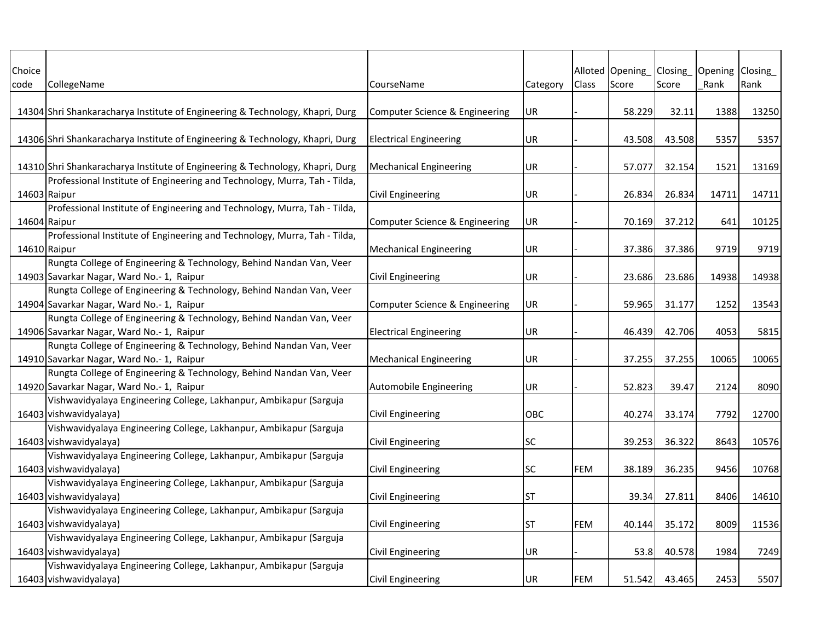| Choice<br>code | CollegeName                                                                   | CourseName                     | Category  | <b>Class</b> | Alloted Opening<br>Score | Closing<br>Score | Opening Closing<br>Rank | Rank  |
|----------------|-------------------------------------------------------------------------------|--------------------------------|-----------|--------------|--------------------------|------------------|-------------------------|-------|
|                |                                                                               |                                |           |              |                          |                  |                         |       |
|                | 14304 Shri Shankaracharya Institute of Engineering & Technology, Khapri, Durg | Computer Science & Engineering | UR        |              | 58.229                   | 32.11            | 1388                    | 13250 |
|                | 14306 Shri Shankaracharya Institute of Engineering & Technology, Khapri, Durg | <b>Electrical Engineering</b>  | UR        |              | 43.508                   | 43.508           | 5357                    | 5357  |
|                |                                                                               |                                |           |              |                          |                  |                         |       |
|                | 14310 Shri Shankaracharya Institute of Engineering & Technology, Khapri, Durg | <b>Mechanical Engineering</b>  | UR        |              | 57.077                   | 32.154           | 1521                    | 13169 |
|                | Professional Institute of Engineering and Technology, Murra, Tah - Tilda,     |                                |           |              |                          |                  |                         |       |
| 14603 Raipur   |                                                                               | <b>Civil Engineering</b>       | UR        |              | 26.834                   | 26.834           | 14711                   | 14711 |
|                | Professional Institute of Engineering and Technology, Murra, Tah - Tilda,     |                                |           |              |                          |                  |                         |       |
| 14604 Raipur   |                                                                               | Computer Science & Engineering | UR        |              | 70.169                   | 37.212           | 641                     | 10125 |
|                | Professional Institute of Engineering and Technology, Murra, Tah - Tilda,     |                                |           |              |                          |                  |                         |       |
| 14610 Raipur   |                                                                               | <b>Mechanical Engineering</b>  | <b>UR</b> |              | 37.386                   | 37.386           | 9719                    | 9719  |
|                | Rungta College of Engineering & Technology, Behind Nandan Van, Veer           |                                |           |              |                          |                  |                         |       |
|                | 14903 Savarkar Nagar, Ward No.- 1, Raipur                                     | <b>Civil Engineering</b>       | UR        |              | 23.686                   | 23.686           | 14938                   | 14938 |
|                | Rungta College of Engineering & Technology, Behind Nandan Van, Veer           |                                |           |              |                          |                  |                         |       |
|                | 14904 Savarkar Nagar, Ward No.- 1, Raipur                                     | Computer Science & Engineering | UR        |              | 59.965                   | 31.177           | 1252                    | 13543 |
|                | Rungta College of Engineering & Technology, Behind Nandan Van, Veer           |                                |           |              |                          |                  |                         |       |
|                | 14906 Savarkar Nagar, Ward No.- 1, Raipur                                     | <b>Electrical Engineering</b>  | UR        |              | 46.439                   | 42.706           | 4053                    | 5815  |
|                | Rungta College of Engineering & Technology, Behind Nandan Van, Veer           |                                |           |              |                          |                  |                         |       |
|                | 14910 Savarkar Nagar, Ward No.- 1, Raipur                                     | <b>Mechanical Engineering</b>  | UR        |              | 37.255                   | 37.255           | 10065                   | 10065 |
|                | Rungta College of Engineering & Technology, Behind Nandan Van, Veer           |                                |           |              |                          |                  |                         |       |
|                | 14920 Savarkar Nagar, Ward No.- 1, Raipur                                     | Automobile Engineering         | UR        |              | 52.823                   | 39.47            | 2124                    | 8090  |
|                | Vishwavidyalaya Engineering College, Lakhanpur, Ambikapur (Sarguja            |                                |           |              |                          |                  |                         |       |
|                | 16403 vishwavidyalaya)                                                        | <b>Civil Engineering</b>       | OBC       |              | 40.274                   | 33.174           | 7792                    | 12700 |
|                | Vishwavidyalaya Engineering College, Lakhanpur, Ambikapur (Sarguja            |                                |           |              |                          |                  |                         |       |
|                | 16403 vishwavidyalaya)                                                        | <b>Civil Engineering</b>       | <b>SC</b> |              | 39.253                   | 36.322           | 8643                    | 10576 |
|                | Vishwavidyalaya Engineering College, Lakhanpur, Ambikapur (Sarguja            |                                |           |              |                          |                  |                         |       |
|                | 16403 vishwavidyalaya)                                                        | <b>Civil Engineering</b>       | <b>SC</b> | <b>FEM</b>   | 38.189                   | 36.235           | 9456                    | 10768 |
|                | Vishwavidyalaya Engineering College, Lakhanpur, Ambikapur (Sarguja            |                                |           |              |                          |                  |                         |       |
|                | 16403 vishwavidyalaya)                                                        | <b>Civil Engineering</b>       | <b>ST</b> |              | 39.34                    | 27.811           | 8406                    | 14610 |
|                | Vishwavidyalaya Engineering College, Lakhanpur, Ambikapur (Sarguja            |                                |           |              |                          |                  |                         |       |
|                | 16403 vishwavidyalaya)                                                        | <b>Civil Engineering</b>       | <b>ST</b> | FEM          | 40.144                   | 35.172           | 8009                    | 11536 |
|                | Vishwavidyalaya Engineering College, Lakhanpur, Ambikapur (Sarguja            |                                |           |              |                          |                  |                         |       |
|                | 16403 vishwavidyalaya)                                                        | <b>Civil Engineering</b>       | UR        |              | 53.8                     | 40.578           | 1984                    | 7249  |
|                | Vishwavidyalaya Engineering College, Lakhanpur, Ambikapur (Sarguja            |                                |           |              |                          |                  |                         |       |
|                | 16403 vishwavidyalaya)                                                        | <b>Civil Engineering</b>       | UR        | FEM          | 51.542                   | 43.465           | 2453                    | 5507  |